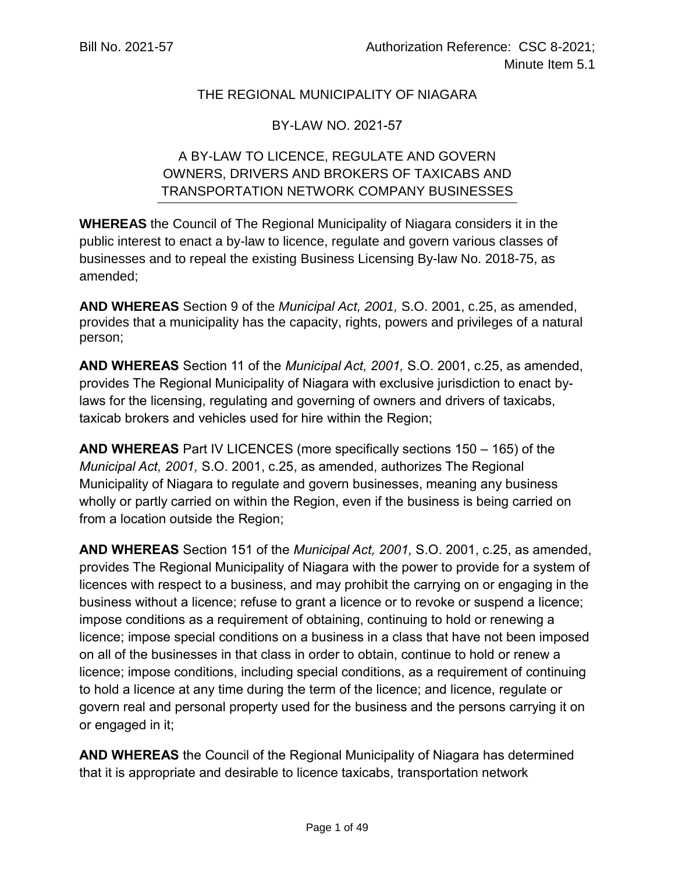## THE REGIONAL MUNICIPALITY OF NIAGARA

## BY-LAW NO. 2021-57

# A BY-LAW TO LICENCE, REGULATE AND GOVERN OWNERS, DRIVERS AND BROKERS OF TAXICABS AND TRANSPORTATION NETWORK COMPANY BUSINESSES

**WHEREAS** the Council of The Regional Municipality of Niagara considers it in the public interest to enact a by-law to licence, regulate and govern various classes of businesses and to repeal the existing Business Licensing By-law No. 2018-75, as amended;

**AND WHEREAS** Section 9 of the *Municipal Act, 2001,* S.O. 2001, c.25, as amended, provides that a municipality has the capacity, rights, powers and privileges of a natural person;

**AND WHEREAS** Section 11 of the *Municipal Act, 2001,* S.O. 2001, c.25, as amended, provides The Regional Municipality of Niagara with exclusive jurisdiction to enact bylaws for the licensing, regulating and governing of owners and drivers of taxicabs, taxicab brokers and vehicles used for hire within the Region;

**AND WHEREAS** Part IV LICENCES (more specifically sections 150 – 165) of the *Municipal Act, 2001,* S.O. 2001, c.25, as amended, authorizes The Regional Municipality of Niagara to regulate and govern businesses, meaning any business wholly or partly carried on within the Region, even if the business is being carried on from a location outside the Region;

**AND WHEREAS** Section 151 of the *Municipal Act, 2001,* S.O. 2001, c.25, as amended, provides The Regional Municipality of Niagara with the power to provide for a system of licences with respect to a business, and may prohibit the carrying on or engaging in the business without a licence; refuse to grant a licence or to revoke or suspend a licence; impose conditions as a requirement of obtaining, continuing to hold or renewing a licence; impose special conditions on a business in a class that have not been imposed on all of the businesses in that class in order to obtain, continue to hold or renew a licence; impose conditions, including special conditions, as a requirement of continuing to hold a licence at any time during the term of the licence; and licence, regulate or govern real and personal property used for the business and the persons carrying it on or engaged in it;

**AND WHEREAS** the Council of the Regional Municipality of Niagara has determined that it is appropriate and desirable to licence taxicabs, transportation network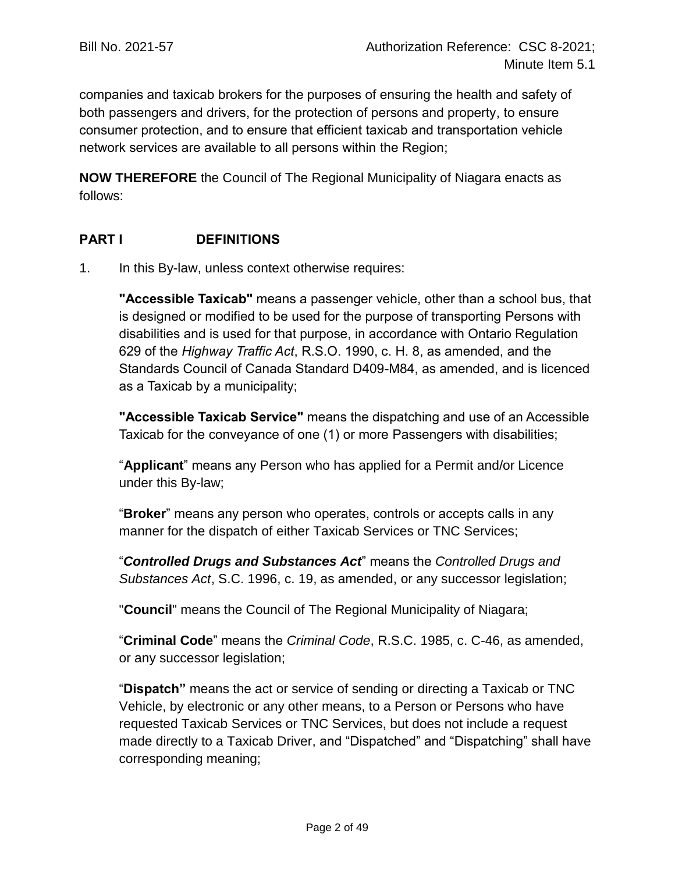companies and taxicab brokers for the purposes of ensuring the health and safety of both passengers and drivers, for the protection of persons and property, to ensure consumer protection, and to ensure that efficient taxicab and transportation vehicle network services are available to all persons within the Region;

**NOW THEREFORE** the Council of The Regional Municipality of Niagara enacts as follows:

## **PART I DEFINITIONS**

1. In this By-law, unless context otherwise requires:

**"Accessible Taxicab"** means a passenger vehicle, other than a school bus, that is designed or modified to be used for the purpose of transporting Persons with disabilities and is used for that purpose, in accordance with Ontario Regulation 629 of the *Highway Traffic Act*, R.S.O. 1990, c. H. 8, as amended, and the Standards Council of Canada Standard D409-M84, as amended, and is licenced as a Taxicab by a municipality;

**"Accessible Taxicab Service"** means the dispatching and use of an Accessible Taxicab for the conveyance of one (1) or more Passengers with disabilities;

"**Applicant**" means any Person who has applied for a Permit and/or Licence under this By-law;

"**Broker**" means any person who operates, controls or accepts calls in any manner for the dispatch of either Taxicab Services or TNC Services;

"*Controlled Drugs and Substances Act*" means the *Controlled Drugs and Substances Act*, S.C. 1996, c. 19, as amended, or any successor legislation;

"**Council**" means the Council of The Regional Municipality of Niagara;

"**Criminal Code**" means the *Criminal Code*, R.S.C. 1985, c. C-46, as amended, or any successor legislation;

"**Dispatch"** means the act or service of sending or directing a Taxicab or TNC Vehicle, by electronic or any other means, to a Person or Persons who have requested Taxicab Services or TNC Services, but does not include a request made directly to a Taxicab Driver, and "Dispatched" and "Dispatching" shall have corresponding meaning;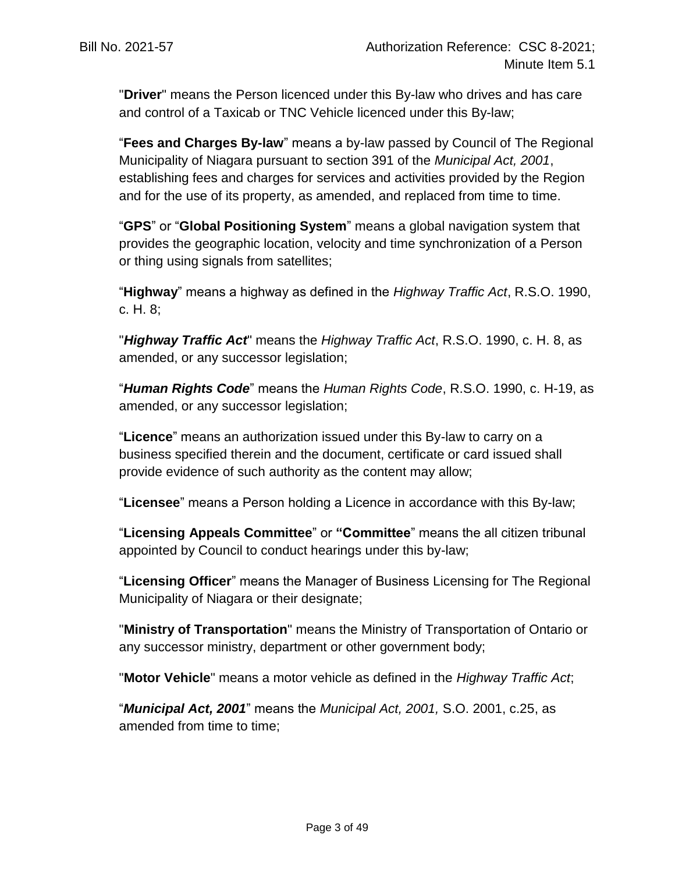"**Driver**" means the Person licenced under this By-law who drives and has care and control of a Taxicab or TNC Vehicle licenced under this By-law;

"**Fees and Charges By-law**" means a by-law passed by Council of The Regional Municipality of Niagara pursuant to section 391 of the *Municipal Act, 2001*, establishing fees and charges for services and activities provided by the Region and for the use of its property, as amended, and replaced from time to time.

"**GPS**" or "**Global Positioning System**" means a global navigation system that provides the geographic location, velocity and time synchronization of a Person or thing using signals from satellites;

"**Highway**" means a highway as defined in the *Highway Traffic Act*, R.S.O. 1990, c. H. 8;

"*Highway Traffic Act*" means the *Highway Traffic Act*, R.S.O. 1990, c. H. 8, as amended, or any successor legislation;

"*Human Rights Code*" means the *Human Rights Code*, R.S.O. 1990, c. H-19, as amended, or any successor legislation;

"**Licence**" means an authorization issued under this By-law to carry on a business specified therein and the document, certificate or card issued shall provide evidence of such authority as the content may allow;

"**Licensee**" means a Person holding a Licence in accordance with this By-law;

"**Licensing Appeals Committee**" or **"Committee**" means the all citizen tribunal appointed by Council to conduct hearings under this by-law;

"**Licensing Officer**" means the Manager of Business Licensing for The Regional Municipality of Niagara or their designate;

"**Ministry of Transportation**" means the Ministry of Transportation of Ontario or any successor ministry, department or other government body;

"**Motor Vehicle**" means a motor vehicle as defined in the *Highway Traffic Act*;

"*Municipal Act, 2001*" means the *Municipal Act, 2001,* S.O. 2001, c.25, as amended from time to time;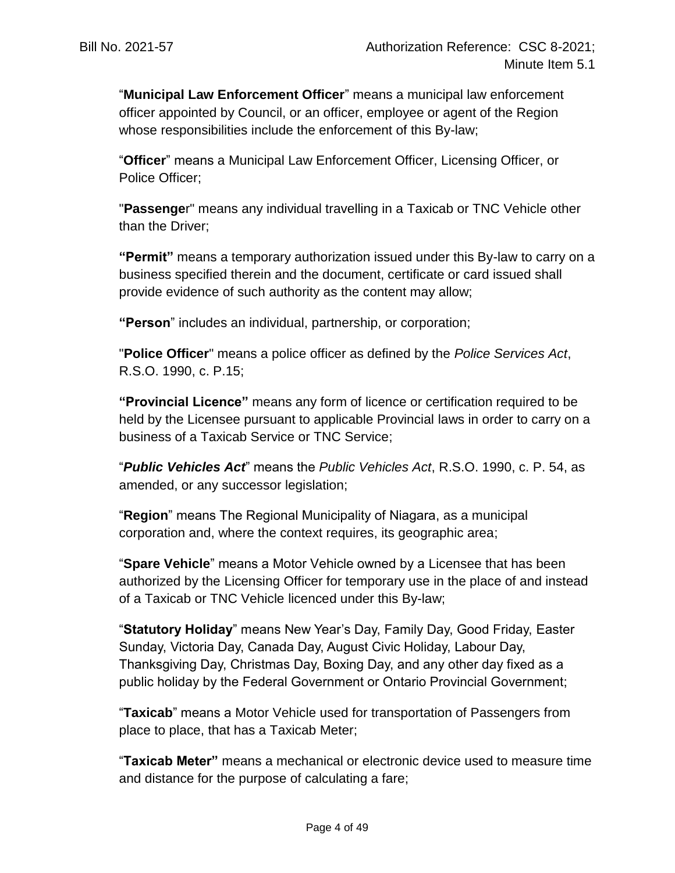"**Municipal Law Enforcement Officer**" means a municipal law enforcement officer appointed by Council, or an officer, employee or agent of the Region whose responsibilities include the enforcement of this By-law;

"**Officer**" means a Municipal Law Enforcement Officer, Licensing Officer, or Police Officer;

"**Passenge**r" means any individual travelling in a Taxicab or TNC Vehicle other than the Driver;

**"Permit"** means a temporary authorization issued under this By-law to carry on a business specified therein and the document, certificate or card issued shall provide evidence of such authority as the content may allow;

**"Person**" includes an individual, partnership, or corporation;

"**Police Officer**" means a police officer as defined by the *Police Services Act*, R.S.O. 1990, c. P.15;

**"Provincial Licence"** means any form of licence or certification required to be held by the Licensee pursuant to applicable Provincial laws in order to carry on a business of a Taxicab Service or TNC Service;

"*Public Vehicles Act*" means the *Public Vehicles Act*, R.S.O. 1990, c. P. 54, as amended, or any successor legislation;

"**Region**" means The Regional Municipality of Niagara, as a municipal corporation and, where the context requires, its geographic area;

"**Spare Vehicle**" means a Motor Vehicle owned by a Licensee that has been authorized by the Licensing Officer for temporary use in the place of and instead of a Taxicab or TNC Vehicle licenced under this By-law;

"**Statutory Holiday**" means New Year's Day, Family Day, Good Friday, Easter Sunday, Victoria Day, Canada Day, August Civic Holiday, Labour Day, Thanksgiving Day, Christmas Day, Boxing Day, and any other day fixed as a public holiday by the Federal Government or Ontario Provincial Government;

"**Taxicab**" means a Motor Vehicle used for transportation of Passengers from place to place, that has a Taxicab Meter;

"**Taxicab Meter"** means a mechanical or electronic device used to measure time and distance for the purpose of calculating a fare;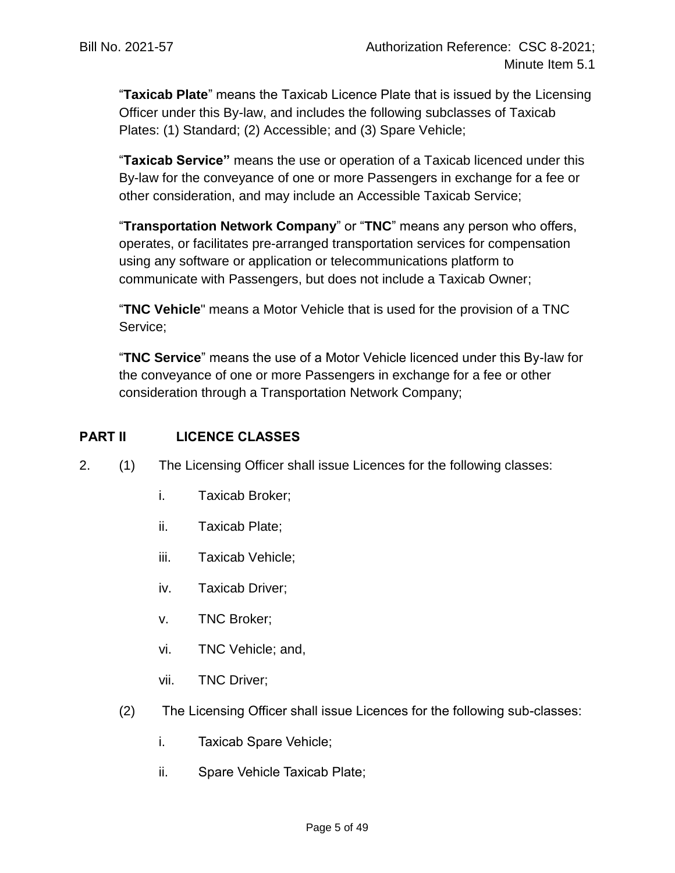"**Taxicab Plate**" means the Taxicab Licence Plate that is issued by the Licensing Officer under this By-law, and includes the following subclasses of Taxicab Plates: (1) Standard; (2) Accessible; and (3) Spare Vehicle;

"**Taxicab Service"** means the use or operation of a Taxicab licenced under this By-law for the conveyance of one or more Passengers in exchange for a fee or other consideration, and may include an Accessible Taxicab Service;

"**Transportation Network Company**" or "**TNC**" means any person who offers, operates, or facilitates pre-arranged transportation services for compensation using any software or application or telecommunications platform to communicate with Passengers, but does not include a Taxicab Owner;

"**TNC Vehicle**" means a Motor Vehicle that is used for the provision of a TNC Service;

"**TNC Service**" means the use of a Motor Vehicle licenced under this By-law for the conveyance of one or more Passengers in exchange for a fee or other consideration through a Transportation Network Company;

# **PART II LICENCE CLASSES**

- <span id="page-4-0"></span>2. (1) The Licensing Officer shall issue Licences for the following classes:
	- i. Taxicab Broker;
	- ii. Taxicab Plate;
	- iii. Taxicab Vehicle;
	- iv. Taxicab Driver;
	- v. TNC Broker;
	- vi. TNC Vehicle; and,
	- vii. TNC Driver;
	- (2) The Licensing Officer shall issue Licences for the following sub-classes:
		- i. Taxicab Spare Vehicle;
		- ii. Spare Vehicle Taxicab Plate;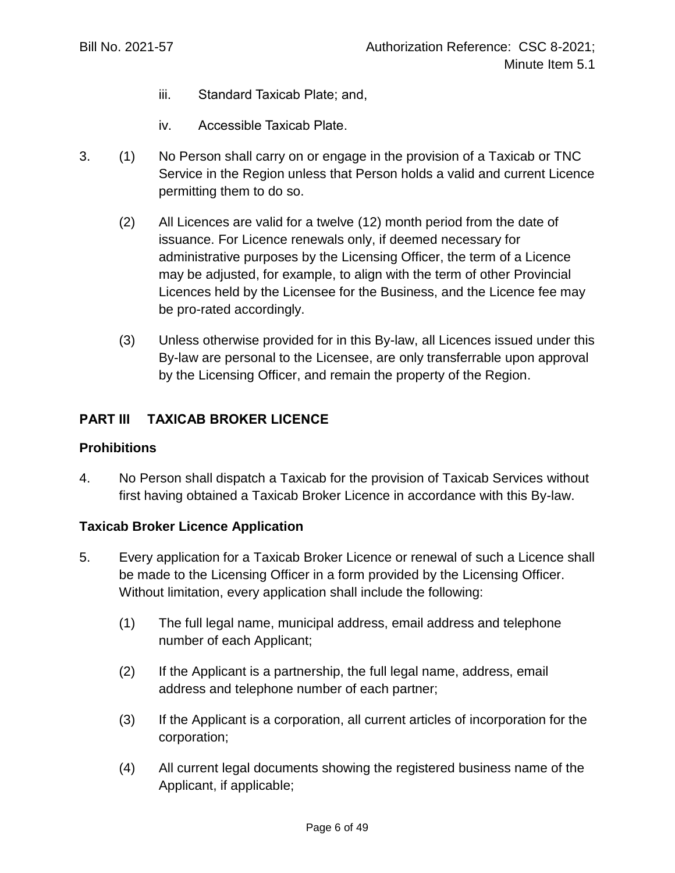- iii. Standard Taxicab Plate; and,
- iv. Accessible Taxicab Plate.
- 3. (1) No Person shall carry on or engage in the provision of a Taxicab or TNC Service in the Region unless that Person holds a valid and current Licence permitting them to do so.
	- (2) All Licences are valid for a twelve (12) month period from the date of issuance. For Licence renewals only, if deemed necessary for administrative purposes by the Licensing Officer, the term of a Licence may be adjusted, for example, to align with the term of other Provincial Licences held by the Licensee for the Business, and the Licence fee may be pro-rated accordingly.
	- (3) Unless otherwise provided for in this By-law, all Licences issued under this By-law are personal to the Licensee, are only transferrable upon approval by the Licensing Officer, and remain the property of the Region.

## **PART III TAXICAB BROKER LICENCE**

#### **Prohibitions**

4. No Person shall dispatch a Taxicab for the provision of Taxicab Services without first having obtained a Taxicab Broker Licence in accordance with this By-law.

## **Taxicab Broker Licence Application**

- 5. Every application for a Taxicab Broker Licence or renewal of such a Licence shall be made to the Licensing Officer in a form provided by the Licensing Officer. Without limitation, every application shall include the following:
	- (1) The full legal name, municipal address, email address and telephone number of each Applicant;
	- (2) If the Applicant is a partnership, the full legal name, address, email address and telephone number of each partner;
	- (3) If the Applicant is a corporation, all current articles of incorporation for the corporation;
	- (4) All current legal documents showing the registered business name of the Applicant, if applicable;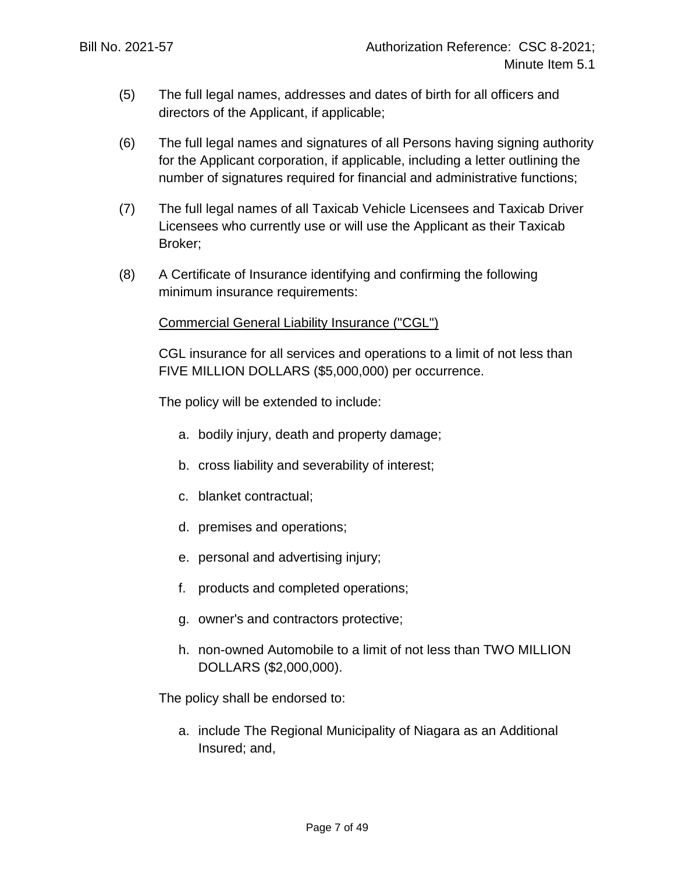- (5) The full legal names, addresses and dates of birth for all officers and directors of the Applicant, if applicable;
- (6) The full legal names and signatures of all Persons having signing authority for the Applicant corporation, if applicable, including a letter outlining the number of signatures required for financial and administrative functions;
- (7) The full legal names of all Taxicab Vehicle Licensees and Taxicab Driver Licensees who currently use or will use the Applicant as their Taxicab Broker;
- (8) A Certificate of Insurance identifying and confirming the following minimum insurance requirements:

## Commercial General Liability Insurance ("CGL")

CGL insurance for all services and operations to a limit of not less than FIVE MILLION DOLLARS (\$5,000,000) per occurrence.

The policy will be extended to include:

- a. bodily injury, death and property damage;
- b. cross liability and severability of interest;
- c. blanket contractual;
- d. premises and operations;
- e. personal and advertising injury;
- f. products and completed operations;
- g. owner's and contractors protective;
- h. non-owned Automobile to a limit of not less than TWO MILLION DOLLARS (\$2,000,000).

The policy shall be endorsed to:

a. include The Regional Municipality of Niagara as an Additional Insured; and,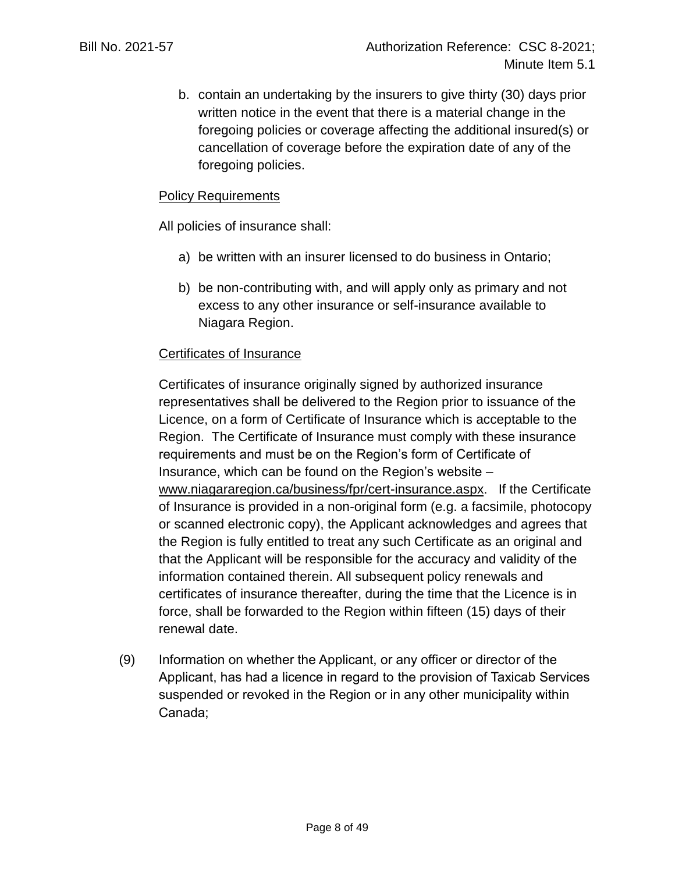b. contain an undertaking by the insurers to give thirty (30) days prior written notice in the event that there is a material change in the foregoing policies or coverage affecting the additional insured(s) or cancellation of coverage before the expiration date of any of the foregoing policies.

## Policy Requirements

All policies of insurance shall:

- a) be written with an insurer licensed to do business in Ontario;
- b) be non-contributing with, and will apply only as primary and not excess to any other insurance or self-insurance available to Niagara Region.

#### Certificates of Insurance

Certificates of insurance originally signed by authorized insurance representatives shall be delivered to the Region prior to issuance of the Licence, on a form of Certificate of Insurance which is acceptable to the Region. The Certificate of Insurance must comply with these insurance requirements and must be on the Region's form of Certificate of Insurance, which can be found on the Region's website – [www.niagararegion.ca/business/fpr/cert-insurance.aspx.](http://www.niagararegion.ca/business/fpr/cert-insurance.aspx) If the Certificate of Insurance is provided in a non-original form (e.g. a facsimile, photocopy or scanned electronic copy), the Applicant acknowledges and agrees that the Region is fully entitled to treat any such Certificate as an original and that the Applicant will be responsible for the accuracy and validity of the information contained therein. All subsequent policy renewals and certificates of insurance thereafter, during the time that the Licence is in force, shall be forwarded to the Region within fifteen (15) days of their renewal date.

(9) Information on whether the Applicant, or any officer or director of the Applicant, has had a licence in regard to the provision of Taxicab Services suspended or revoked in the Region or in any other municipality within Canada;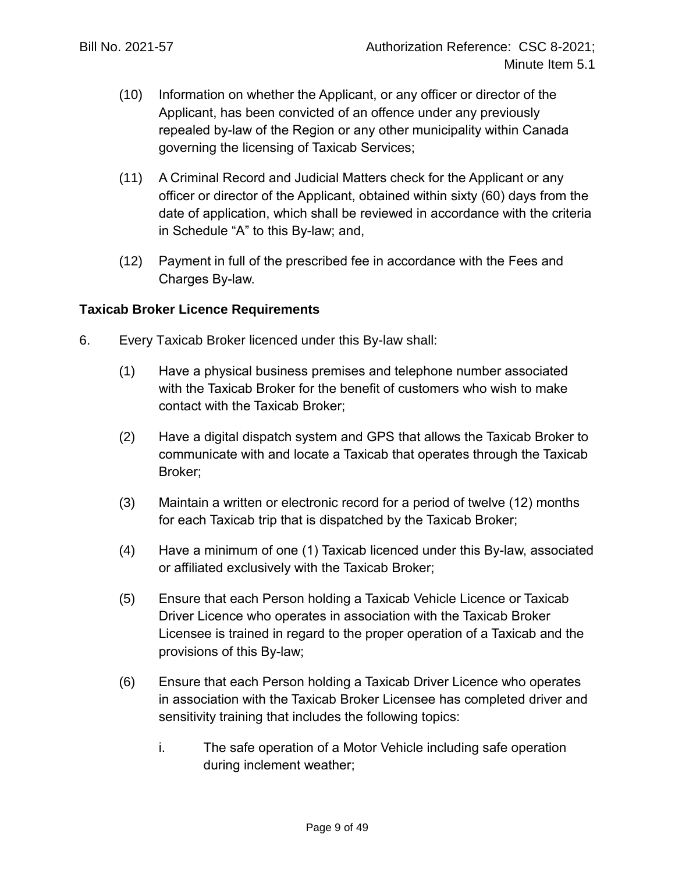- (10) Information on whether the Applicant, or any officer or director of the Applicant, has been convicted of an offence under any previously repealed by-law of the Region or any other municipality within Canada governing the licensing of Taxicab Services;
- (11) A Criminal Record and Judicial Matters check for the Applicant or any officer or director of the Applicant, obtained within sixty (60) days from the date of application, which shall be reviewed in accordance with the criteria in Schedule "A" to this By-law; and,
- (12) Payment in full of the prescribed fee in accordance with the Fees and Charges By-law.

#### **Taxicab Broker Licence Requirements**

- 6. Every Taxicab Broker licenced under this By-law shall:
	- (1) Have a physical business premises and telephone number associated with the Taxicab Broker for the benefit of customers who wish to make contact with the Taxicab Broker;
	- (2) Have a digital dispatch system and GPS that allows the Taxicab Broker to communicate with and locate a Taxicab that operates through the Taxicab Broker;
	- (3) Maintain a written or electronic record for a period of twelve (12) months for each Taxicab trip that is dispatched by the Taxicab Broker;
	- (4) Have a minimum of one (1) Taxicab licenced under this By-law, associated or affiliated exclusively with the Taxicab Broker;
	- (5) Ensure that each Person holding a Taxicab Vehicle Licence or Taxicab Driver Licence who operates in association with the Taxicab Broker Licensee is trained in regard to the proper operation of a Taxicab and the provisions of this By-law;
	- (6) Ensure that each Person holding a Taxicab Driver Licence who operates in association with the Taxicab Broker Licensee has completed driver and sensitivity training that includes the following topics:
		- i. The safe operation of a Motor Vehicle including safe operation during inclement weather;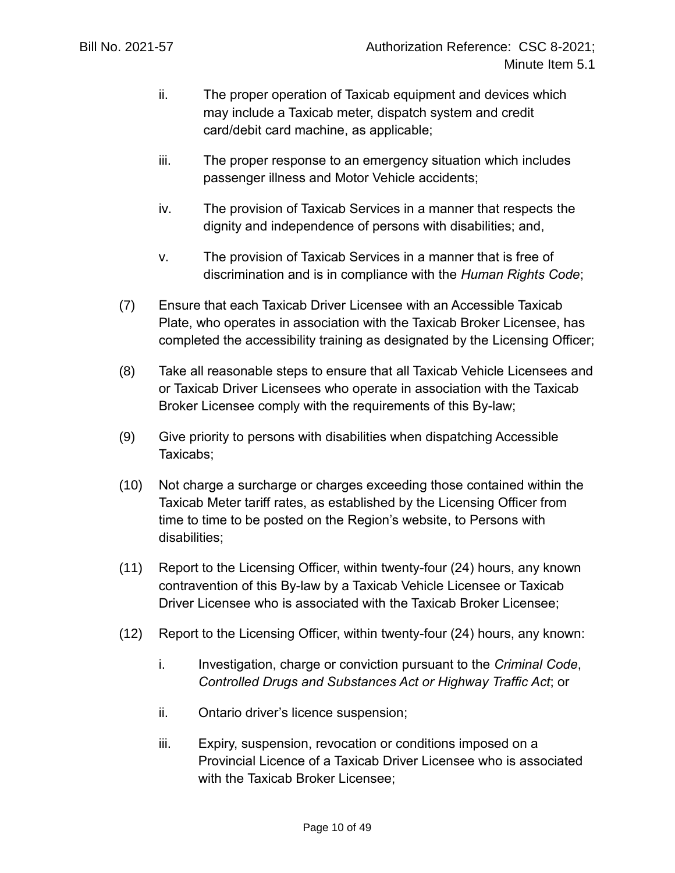- ii. The proper operation of Taxicab equipment and devices which may include a Taxicab meter, dispatch system and credit card/debit card machine, as applicable;
- iii. The proper response to an emergency situation which includes passenger illness and Motor Vehicle accidents;
- iv. The provision of Taxicab Services in a manner that respects the dignity and independence of persons with disabilities; and,
- v. The provision of Taxicab Services in a manner that is free of discrimination and is in compliance with the *Human Rights Code*;
- (7) Ensure that each Taxicab Driver Licensee with an Accessible Taxicab Plate, who operates in association with the Taxicab Broker Licensee, has completed the accessibility training as designated by the Licensing Officer;
- (8) Take all reasonable steps to ensure that all Taxicab Vehicle Licensees and or Taxicab Driver Licensees who operate in association with the Taxicab Broker Licensee comply with the requirements of this By-law;
- (9) Give priority to persons with disabilities when dispatching Accessible Taxicabs;
- (10) Not charge a surcharge or charges exceeding those contained within the Taxicab Meter tariff rates, as established by the Licensing Officer from time to time to be posted on the Region's website, to Persons with disabilities;
- (11) Report to the Licensing Officer, within twenty-four (24) hours, any known contravention of this By-law by a Taxicab Vehicle Licensee or Taxicab Driver Licensee who is associated with the Taxicab Broker Licensee;
- (12) Report to the Licensing Officer, within twenty-four (24) hours, any known:
	- i. Investigation, charge or conviction pursuant to the *Criminal Code*, *Controlled Drugs and Substances Act or Highway Traffic Act*; or
	- ii. Ontario driver's licence suspension;
	- iii. Expiry, suspension, revocation or conditions imposed on a Provincial Licence of a Taxicab Driver Licensee who is associated with the Taxicab Broker Licensee;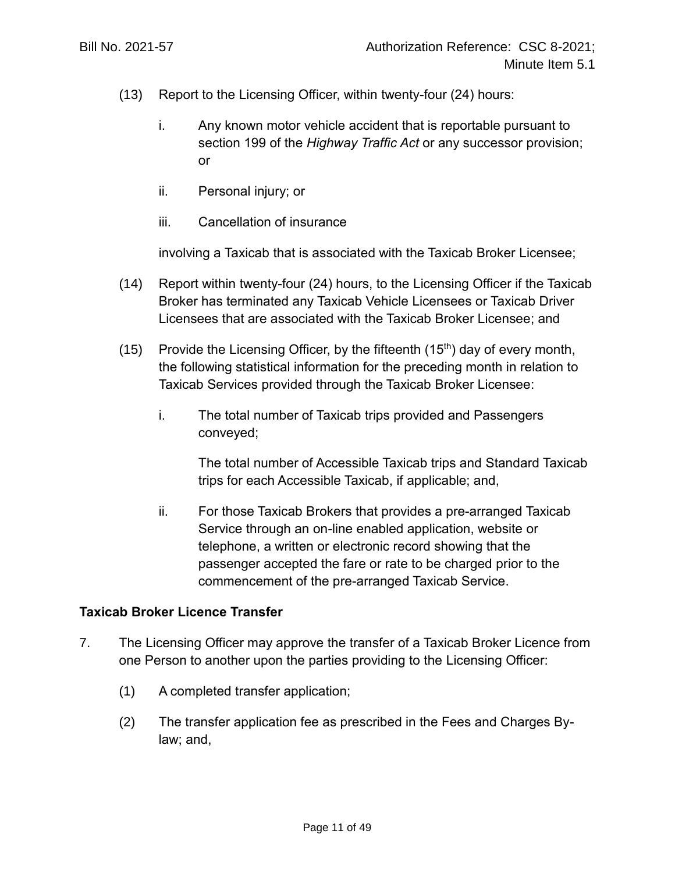- (13) Report to the Licensing Officer, within twenty-four (24) hours:
	- i. Any known motor vehicle accident that is reportable pursuant to section 199 of the *Highway Traffic Act* or any successor provision; or
	- ii. Personal injury; or
	- iii. Cancellation of insurance

involving a Taxicab that is associated with the Taxicab Broker Licensee;

- (14) Report within twenty-four (24) hours, to the Licensing Officer if the Taxicab Broker has terminated any Taxicab Vehicle Licensees or Taxicab Driver Licensees that are associated with the Taxicab Broker Licensee; and
- (15) Provide the Licensing Officer, by the fifteenth  $(15<sup>th</sup>)$  day of every month, the following statistical information for the preceding month in relation to Taxicab Services provided through the Taxicab Broker Licensee:
	- i. The total number of Taxicab trips provided and Passengers conveyed;

The total number of Accessible Taxicab trips and Standard Taxicab trips for each Accessible Taxicab, if applicable; and,

ii. For those Taxicab Brokers that provides a pre-arranged Taxicab Service through an on-line enabled application, website or telephone, a written or electronic record showing that the passenger accepted the fare or rate to be charged prior to the commencement of the pre-arranged Taxicab Service.

## **Taxicab Broker Licence Transfer**

- 7. The Licensing Officer may approve the transfer of a Taxicab Broker Licence from one Person to another upon the parties providing to the Licensing Officer:
	- (1) A completed transfer application;
	- (2) The transfer application fee as prescribed in the Fees and Charges Bylaw; and,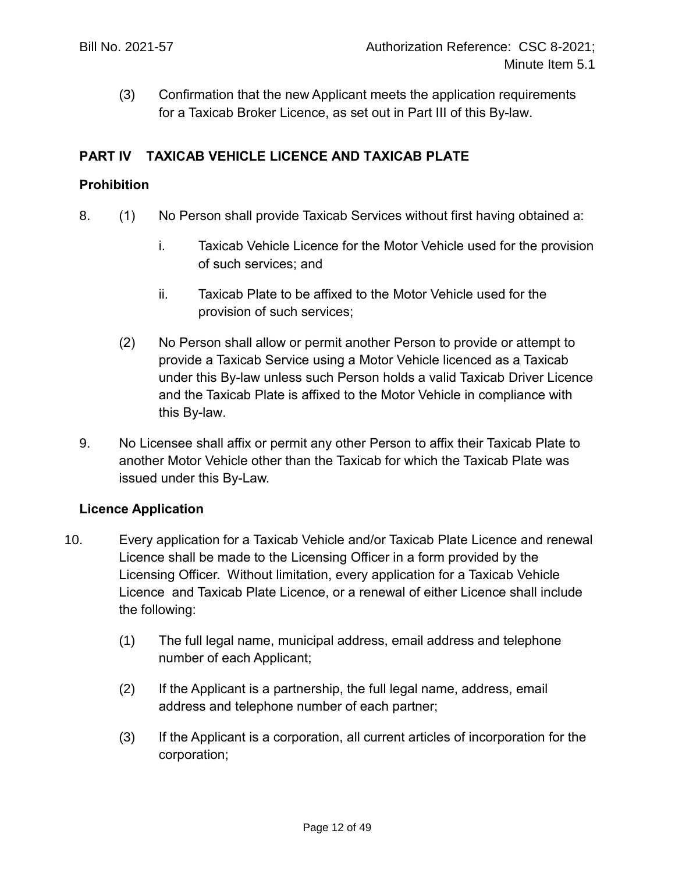(3) Confirmation that the new Applicant meets the application requirements for a Taxicab Broker Licence, as set out in Part III of this By-law.

## **PART IV TAXICAB VEHICLE LICENCE AND TAXICAB PLATE**

#### **Prohibition**

- 8. (1) No Person shall provide Taxicab Services without first having obtained a:
	- i. Taxicab Vehicle Licence for the Motor Vehicle used for the provision of such services; and
	- ii. Taxicab Plate to be affixed to the Motor Vehicle used for the provision of such services;
	- (2) No Person shall allow or permit another Person to provide or attempt to provide a Taxicab Service using a Motor Vehicle licenced as a Taxicab under this By-law unless such Person holds a valid Taxicab Driver Licence and the Taxicab Plate is affixed to the Motor Vehicle in compliance with this By-law.
- 9. No Licensee shall affix or permit any other Person to affix their Taxicab Plate to another Motor Vehicle other than the Taxicab for which the Taxicab Plate was issued under this By-Law.

## **Licence Application**

- <span id="page-11-0"></span>10. Every application for a Taxicab Vehicle and/or Taxicab Plate Licence and renewal Licence shall be made to the Licensing Officer in a form provided by the Licensing Officer. Without limitation, every application for a Taxicab Vehicle Licence and Taxicab Plate Licence, or a renewal of either Licence shall include the following:
	- (1) The full legal name, municipal address, email address and telephone number of each Applicant;
	- (2) If the Applicant is a partnership, the full legal name, address, email address and telephone number of each partner;
	- (3) If the Applicant is a corporation, all current articles of incorporation for the corporation;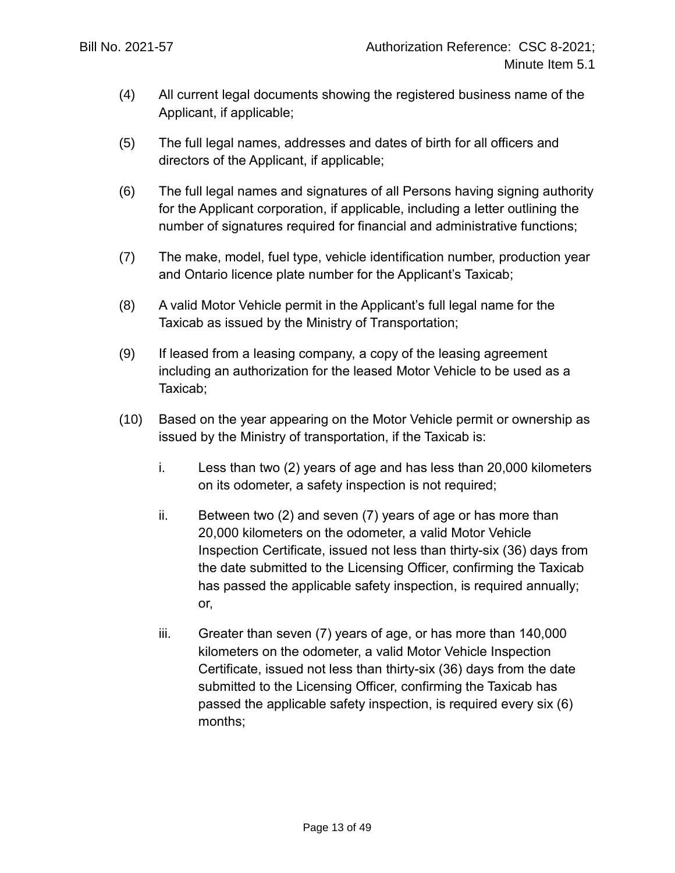- (4) All current legal documents showing the registered business name of the Applicant, if applicable;
- (5) The full legal names, addresses and dates of birth for all officers and directors of the Applicant, if applicable;
- (6) The full legal names and signatures of all Persons having signing authority for the Applicant corporation, if applicable, including a letter outlining the number of signatures required for financial and administrative functions;
- (7) The make, model, fuel type, vehicle identification number, production year and Ontario licence plate number for the Applicant's Taxicab;
- (8) A valid Motor Vehicle permit in the Applicant's full legal name for the Taxicab as issued by the Ministry of Transportation;
- (9) If leased from a leasing company, a copy of the leasing agreement including an authorization for the leased Motor Vehicle to be used as a Taxicab;
- (10) Based on the year appearing on the Motor Vehicle permit or ownership as issued by the Ministry of transportation, if the Taxicab is:
	- i. Less than two (2) years of age and has less than 20,000 kilometers on its odometer, a safety inspection is not required;
	- ii. Between two (2) and seven (7) years of age or has more than 20,000 kilometers on the odometer, a valid Motor Vehicle Inspection Certificate, issued not less than thirty-six (36) days from the date submitted to the Licensing Officer, confirming the Taxicab has passed the applicable safety inspection, is required annually; or,
	- iii. Greater than seven (7) years of age, or has more than 140,000 kilometers on the odometer, a valid Motor Vehicle Inspection Certificate, issued not less than thirty-six (36) days from the date submitted to the Licensing Officer, confirming the Taxicab has passed the applicable safety inspection, is required every six (6) months;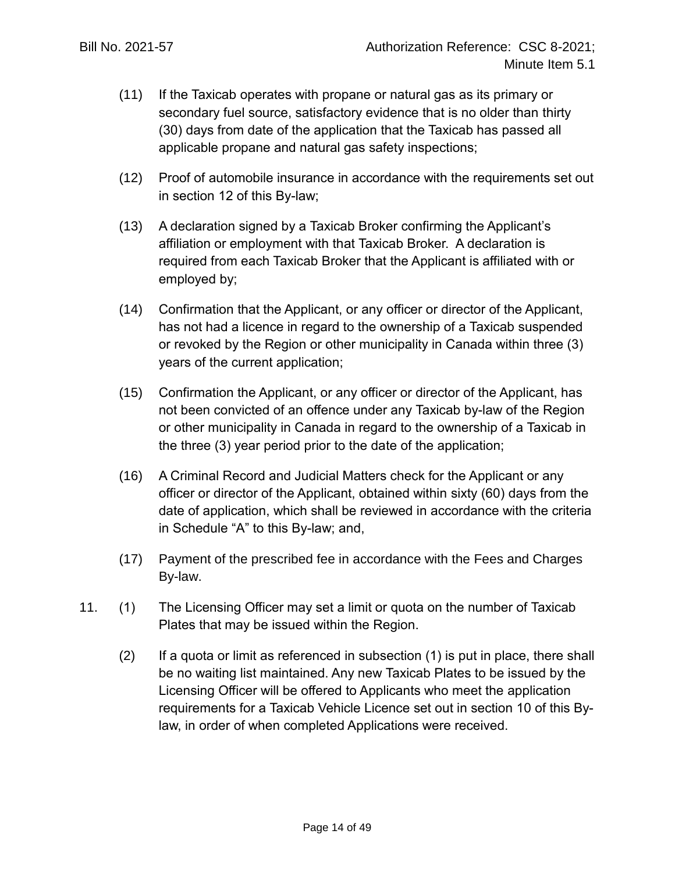- (11) If the Taxicab operates with propane or natural gas as its primary or secondary fuel source, satisfactory evidence that is no older than thirty (30) days from date of the application that the Taxicab has passed all applicable propane and natural gas safety inspections;
- (12) Proof of automobile insurance in accordance with the requirements set out in section [12](#page-14-0) of this By-law;
- (13) A declaration signed by a Taxicab Broker confirming the Applicant's affiliation or employment with that Taxicab Broker. A declaration is required from each Taxicab Broker that the Applicant is affiliated with or employed by;
- (14) Confirmation that the Applicant, or any officer or director of the Applicant, has not had a licence in regard to the ownership of a Taxicab suspended or revoked by the Region or other municipality in Canada within three (3) years of the current application;
- (15) Confirmation the Applicant, or any officer or director of the Applicant, has not been convicted of an offence under any Taxicab by-law of the Region or other municipality in Canada in regard to the ownership of a Taxicab in the three (3) year period prior to the date of the application;
- (16) A Criminal Record and Judicial Matters check for the Applicant or any officer or director of the Applicant, obtained within sixty (60) days from the date of application, which shall be reviewed in accordance with the criteria in Schedule "A" to this By-law; and,
- (17) Payment of the prescribed fee in accordance with the Fees and Charges By-law.
- 11. (1) The Licensing Officer may set a limit or quota on the number of Taxicab Plates that may be issued within the Region.
	- (2) If a quota or limit as referenced in subsection (1) is put in place, there shall be no waiting list maintained. Any new Taxicab Plates to be issued by the Licensing Officer will be offered to Applicants who meet the application requirements for a Taxicab Vehicle Licence set out in section [10](#page-11-0) of this Bylaw, in order of when completed Applications were received.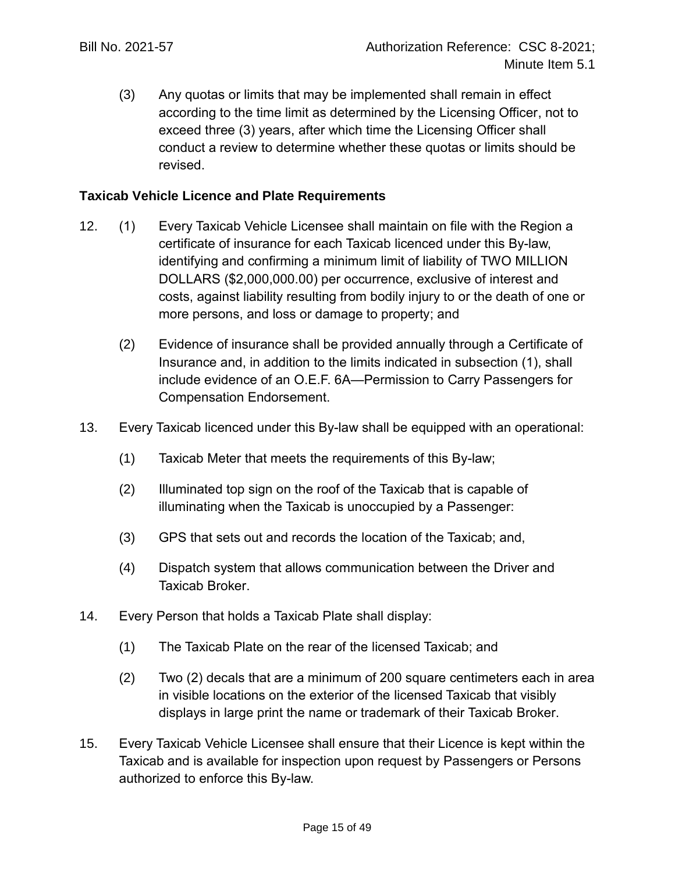(3) Any quotas or limits that may be implemented shall remain in effect according to the time limit as determined by the Licensing Officer, not to exceed three (3) years, after which time the Licensing Officer shall conduct a review to determine whether these quotas or limits should be revised.

#### **Taxicab Vehicle Licence and Plate Requirements**

- <span id="page-14-0"></span>12. (1) Every Taxicab Vehicle Licensee shall maintain on file with the Region a certificate of insurance for each Taxicab licenced under this By-law, identifying and confirming a minimum limit of liability of TWO MILLION DOLLARS (\$2,000,000.00) per occurrence, exclusive of interest and costs, against liability resulting from bodily injury to or the death of one or more persons, and loss or damage to property; and
	- (2) Evidence of insurance shall be provided annually through a Certificate of Insurance and, in addition to the limits indicated in subsection (1), shall include evidence of an O.E.F. 6A—Permission to Carry Passengers for Compensation Endorsement.
- 13. Every Taxicab licenced under this By-law shall be equipped with an operational:
	- (1) Taxicab Meter that meets the requirements of this By-law;
	- (2) Illuminated top sign on the roof of the Taxicab that is capable of illuminating when the Taxicab is unoccupied by a Passenger:
	- (3) GPS that sets out and records the location of the Taxicab; and,
	- (4) Dispatch system that allows communication between the Driver and Taxicab Broker.
- 14. Every Person that holds a Taxicab Plate shall display:
	- (1) The Taxicab Plate on the rear of the licensed Taxicab; and
	- (2) Two (2) decals that are a minimum of 200 square centimeters each in area in visible locations on the exterior of the licensed Taxicab that visibly displays in large print the name or trademark of their Taxicab Broker.
- 15. Every Taxicab Vehicle Licensee shall ensure that their Licence is kept within the Taxicab and is available for inspection upon request by Passengers or Persons authorized to enforce this By-law.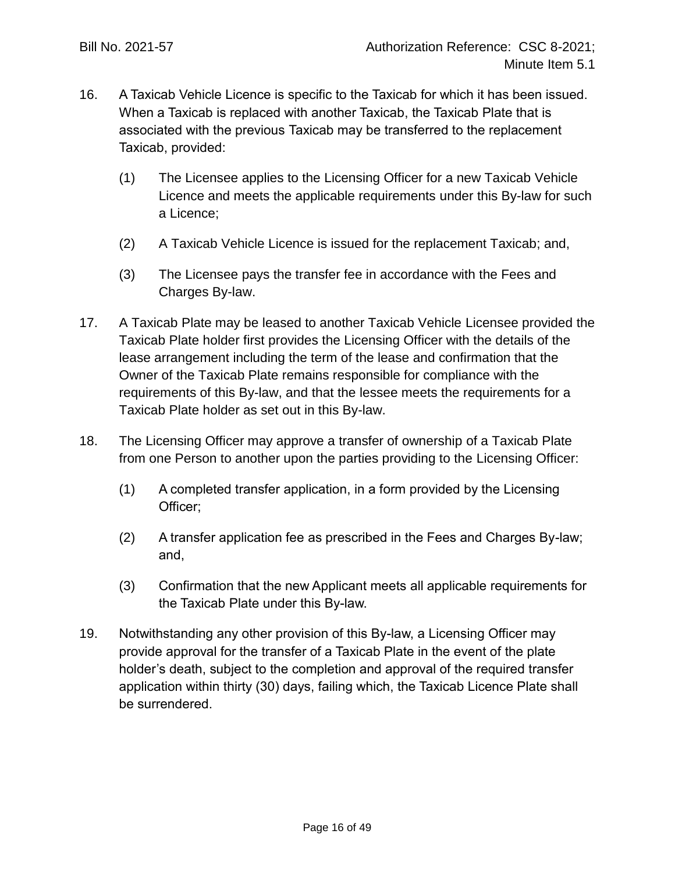- 16. A Taxicab Vehicle Licence is specific to the Taxicab for which it has been issued. When a Taxicab is replaced with another Taxicab, the Taxicab Plate that is associated with the previous Taxicab may be transferred to the replacement Taxicab, provided:
	- (1) The Licensee applies to the Licensing Officer for a new Taxicab Vehicle Licence and meets the applicable requirements under this By-law for such a Licence;
	- (2) A Taxicab Vehicle Licence is issued for the replacement Taxicab; and,
	- (3) The Licensee pays the transfer fee in accordance with the Fees and Charges By-law.
- 17. A Taxicab Plate may be leased to another Taxicab Vehicle Licensee provided the Taxicab Plate holder first provides the Licensing Officer with the details of the lease arrangement including the term of the lease and confirmation that the Owner of the Taxicab Plate remains responsible for compliance with the requirements of this By-law, and that the lessee meets the requirements for a Taxicab Plate holder as set out in this By-law.
- 18. The Licensing Officer may approve a transfer of ownership of a Taxicab Plate from one Person to another upon the parties providing to the Licensing Officer:
	- (1) A completed transfer application, in a form provided by the Licensing Officer;
	- (2) A transfer application fee as prescribed in the Fees and Charges By-law; and,
	- (3) Confirmation that the new Applicant meets all applicable requirements for the Taxicab Plate under this By-law.
- 19. Notwithstanding any other provision of this By-law, a Licensing Officer may provide approval for the transfer of a Taxicab Plate in the event of the plate holder's death, subject to the completion and approval of the required transfer application within thirty (30) days, failing which, the Taxicab Licence Plate shall be surrendered.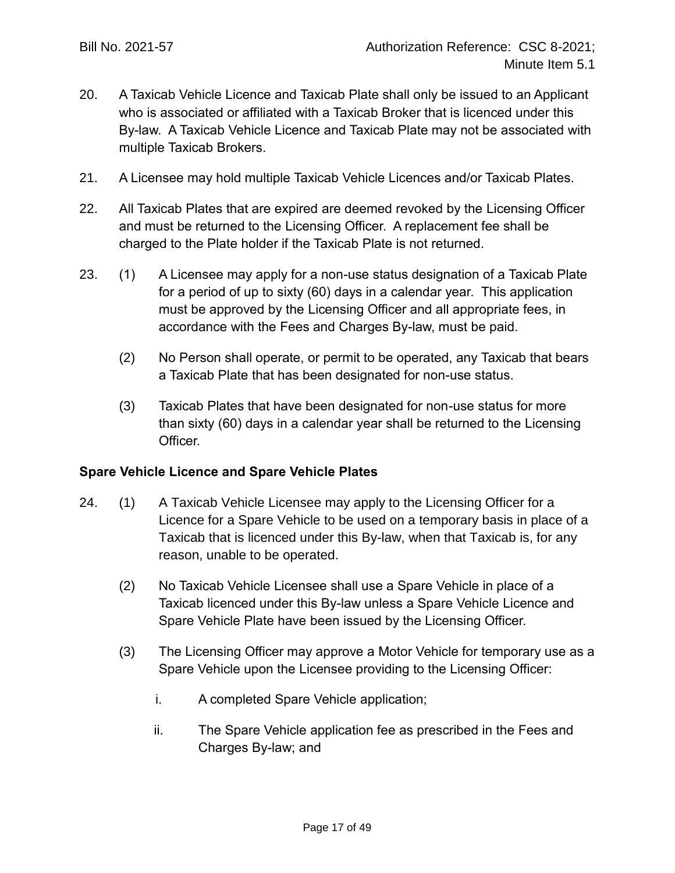- 20. A Taxicab Vehicle Licence and Taxicab Plate shall only be issued to an Applicant who is associated or affiliated with a Taxicab Broker that is licenced under this By-law. A Taxicab Vehicle Licence and Taxicab Plate may not be associated with multiple Taxicab Brokers.
- 21. A Licensee may hold multiple Taxicab Vehicle Licences and/or Taxicab Plates.
- 22. All Taxicab Plates that are expired are deemed revoked by the Licensing Officer and must be returned to the Licensing Officer. A replacement fee shall be charged to the Plate holder if the Taxicab Plate is not returned.
- 23. (1) A Licensee may apply for a non-use status designation of a Taxicab Plate for a period of up to sixty (60) days in a calendar year. This application must be approved by the Licensing Officer and all appropriate fees, in accordance with the Fees and Charges By-law, must be paid.
	- (2) No Person shall operate, or permit to be operated, any Taxicab that bears a Taxicab Plate that has been designated for non-use status.
	- (3) Taxicab Plates that have been designated for non-use status for more than sixty (60) days in a calendar year shall be returned to the Licensing Officer.

## **Spare Vehicle Licence and Spare Vehicle Plates**

- <span id="page-16-0"></span>24. (1) A Taxicab Vehicle Licensee may apply to the Licensing Officer for a Licence for a Spare Vehicle to be used on a temporary basis in place of a Taxicab that is licenced under this By-law, when that Taxicab is, for any reason, unable to be operated.
	- (2) No Taxicab Vehicle Licensee shall use a Spare Vehicle in place of a Taxicab licenced under this By-law unless a Spare Vehicle Licence and Spare Vehicle Plate have been issued by the Licensing Officer.
	- (3) The Licensing Officer may approve a Motor Vehicle for temporary use as a Spare Vehicle upon the Licensee providing to the Licensing Officer:
		- i. A completed Spare Vehicle application;
		- ii. The Spare Vehicle application fee as prescribed in the Fees and Charges By-law; and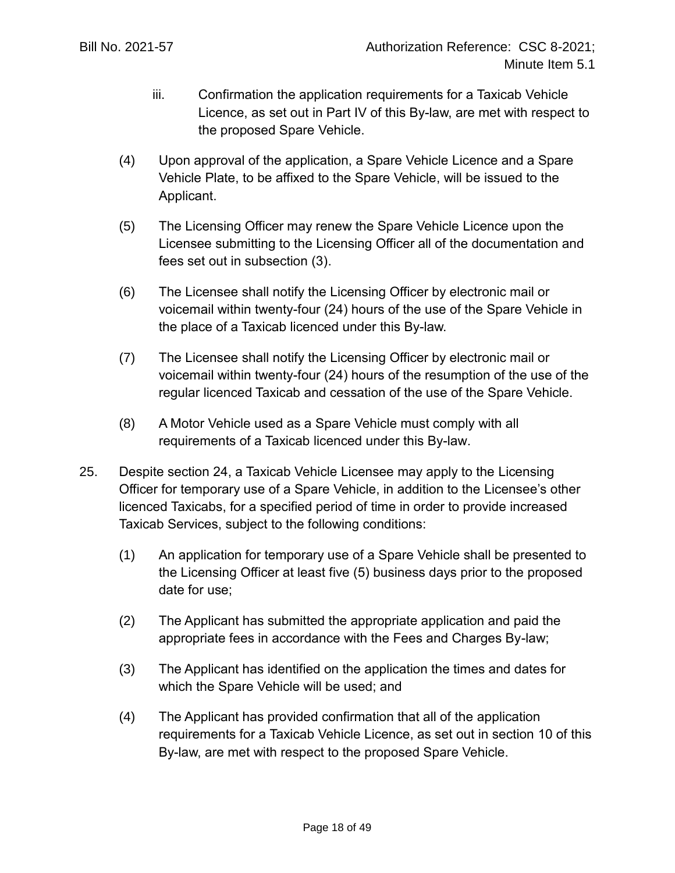- iii. Confirmation the application requirements for a Taxicab Vehicle Licence, as set out in Part IV of this By-law, are met with respect to the proposed Spare Vehicle.
- (4) Upon approval of the application, a Spare Vehicle Licence and a Spare Vehicle Plate, to be affixed to the Spare Vehicle, will be issued to the Applicant.
- (5) The Licensing Officer may renew the Spare Vehicle Licence upon the Licensee submitting to the Licensing Officer all of the documentation and fees set out in subsection (3).
- (6) The Licensee shall notify the Licensing Officer by electronic mail or voicemail within twenty-four (24) hours of the use of the Spare Vehicle in the place of a Taxicab licenced under this By-law.
- (7) The Licensee shall notify the Licensing Officer by electronic mail or voicemail within twenty-four (24) hours of the resumption of the use of the regular licenced Taxicab and cessation of the use of the Spare Vehicle.
- (8) A Motor Vehicle used as a Spare Vehicle must comply with all requirements of a Taxicab licenced under this By-law.
- 25. Despite section [24,](#page-16-0) a Taxicab Vehicle Licensee may apply to the Licensing Officer for temporary use of a Spare Vehicle, in addition to the Licensee's other licenced Taxicabs, for a specified period of time in order to provide increased Taxicab Services, subject to the following conditions:
	- (1) An application for temporary use of a Spare Vehicle shall be presented to the Licensing Officer at least five (5) business days prior to the proposed date for use;
	- (2) The Applicant has submitted the appropriate application and paid the appropriate fees in accordance with the Fees and Charges By-law;
	- (3) The Applicant has identified on the application the times and dates for which the Spare Vehicle will be used; and
	- (4) The Applicant has provided confirmation that all of the application requirements for a Taxicab Vehicle Licence, as set out in section [10](#page-11-0) of this By-law, are met with respect to the proposed Spare Vehicle.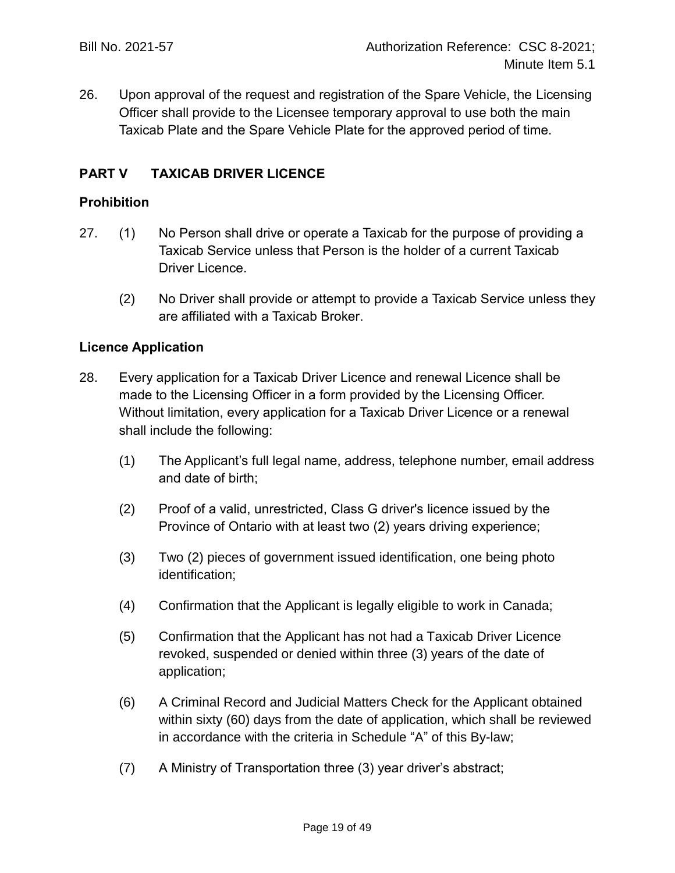26. Upon approval of the request and registration of the Spare Vehicle, the Licensing Officer shall provide to the Licensee temporary approval to use both the main Taxicab Plate and the Spare Vehicle Plate for the approved period of time.

## **PART V TAXICAB DRIVER LICENCE**

#### **Prohibition**

- 27. (1) No Person shall drive or operate a Taxicab for the purpose of providing a Taxicab Service unless that Person is the holder of a current Taxicab Driver Licence.
	- (2) No Driver shall provide or attempt to provide a Taxicab Service unless they are affiliated with a Taxicab Broker.

#### **Licence Application**

- 28. Every application for a Taxicab Driver Licence and renewal Licence shall be made to the Licensing Officer in a form provided by the Licensing Officer. Without limitation, every application for a Taxicab Driver Licence or a renewal shall include the following:
	- (1) The Applicant's full legal name, address, telephone number, email address and date of birth;
	- (2) Proof of a valid, unrestricted, Class G driver's licence issued by the Province of Ontario with at least two (2) years driving experience;
	- (3) Two (2) pieces of government issued identification, one being photo identification;
	- (4) Confirmation that the Applicant is legally eligible to work in Canada;
	- (5) Confirmation that the Applicant has not had a Taxicab Driver Licence revoked, suspended or denied within three (3) years of the date of application;
	- (6) A Criminal Record and Judicial Matters Check for the Applicant obtained within sixty (60) days from the date of application, which shall be reviewed in accordance with the criteria in Schedule "A" of this By-law;
	- (7) A Ministry of Transportation three (3) year driver's abstract;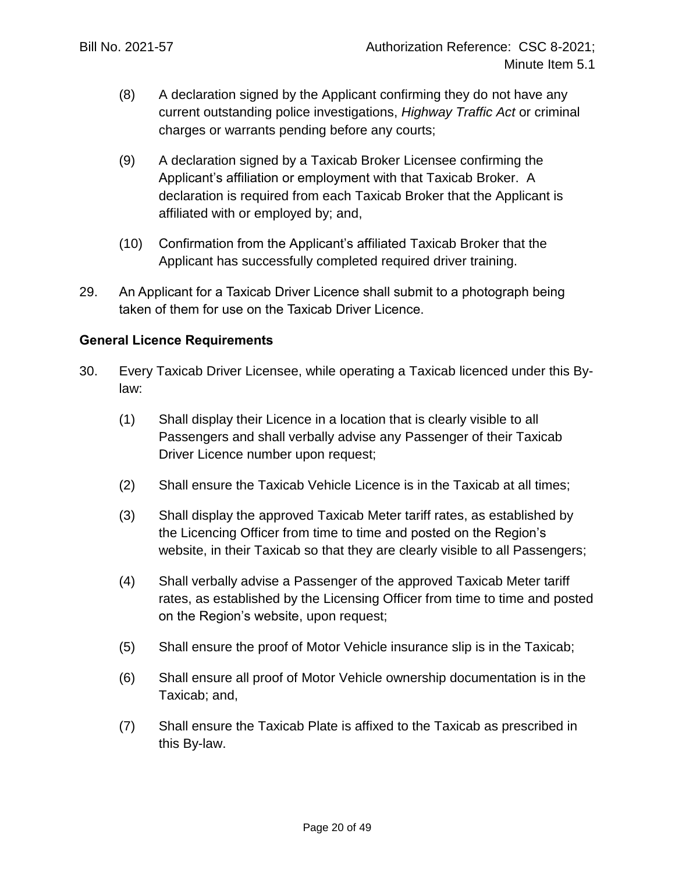- (8) A declaration signed by the Applicant confirming they do not have any current outstanding police investigations, *Highway Traffic Act* or criminal charges or warrants pending before any courts;
- (9) A declaration signed by a Taxicab Broker Licensee confirming the Applicant's affiliation or employment with that Taxicab Broker. A declaration is required from each Taxicab Broker that the Applicant is affiliated with or employed by; and,
- (10) Confirmation from the Applicant's affiliated Taxicab Broker that the Applicant has successfully completed required driver training.
- 29. An Applicant for a Taxicab Driver Licence shall submit to a photograph being taken of them for use on the Taxicab Driver Licence.

## **General Licence Requirements**

- 30. Every Taxicab Driver Licensee, while operating a Taxicab licenced under this Bylaw:
	- (1) Shall display their Licence in a location that is clearly visible to all Passengers and shall verbally advise any Passenger of their Taxicab Driver Licence number upon request;
	- (2) Shall ensure the Taxicab Vehicle Licence is in the Taxicab at all times;
	- (3) Shall display the approved Taxicab Meter tariff rates, as established by the Licencing Officer from time to time and posted on the Region's website, in their Taxicab so that they are clearly visible to all Passengers;
	- (4) Shall verbally advise a Passenger of the approved Taxicab Meter tariff rates, as established by the Licensing Officer from time to time and posted on the Region's website, upon request;
	- (5) Shall ensure the proof of Motor Vehicle insurance slip is in the Taxicab;
	- (6) Shall ensure all proof of Motor Vehicle ownership documentation is in the Taxicab; and,
	- (7) Shall ensure the Taxicab Plate is affixed to the Taxicab as prescribed in this By-law.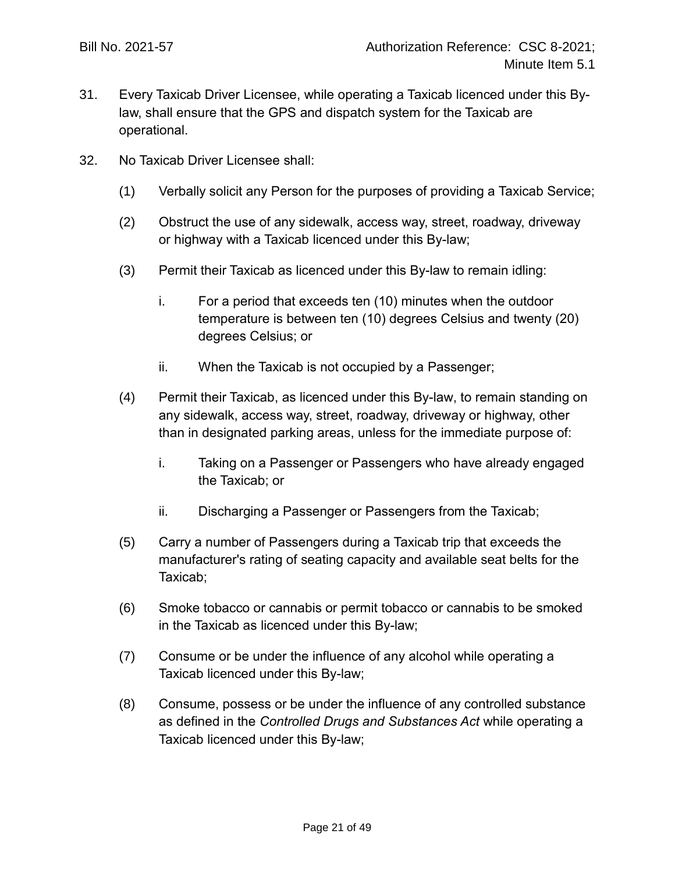- 31. Every Taxicab Driver Licensee, while operating a Taxicab licenced under this Bylaw, shall ensure that the GPS and dispatch system for the Taxicab are operational.
- 32. No Taxicab Driver Licensee shall:
	- (1) Verbally solicit any Person for the purposes of providing a Taxicab Service;
	- (2) Obstruct the use of any sidewalk, access way, street, roadway, driveway or highway with a Taxicab licenced under this By-law;
	- (3) Permit their Taxicab as licenced under this By-law to remain idling:
		- i. For a period that exceeds ten (10) minutes when the outdoor temperature is between ten (10) degrees Celsius and twenty (20) degrees Celsius; or
		- ii. When the Taxicab is not occupied by a Passenger;
	- (4) Permit their Taxicab, as licenced under this By-law, to remain standing on any sidewalk, access way, street, roadway, driveway or highway, other than in designated parking areas, unless for the immediate purpose of:
		- i. Taking on a Passenger or Passengers who have already engaged the Taxicab; or
		- ii. Discharging a Passenger or Passengers from the Taxicab;
	- (5) Carry a number of Passengers during a Taxicab trip that exceeds the manufacturer's rating of seating capacity and available seat belts for the Taxicab;
	- (6) Smoke tobacco or cannabis or permit tobacco or cannabis to be smoked in the Taxicab as licenced under this By-law;
	- (7) Consume or be under the influence of any alcohol while operating a Taxicab licenced under this By-law;
	- (8) Consume, possess or be under the influence of any controlled substance as defined in the *Controlled Drugs and Substances Act* while operating a Taxicab licenced under this By-law;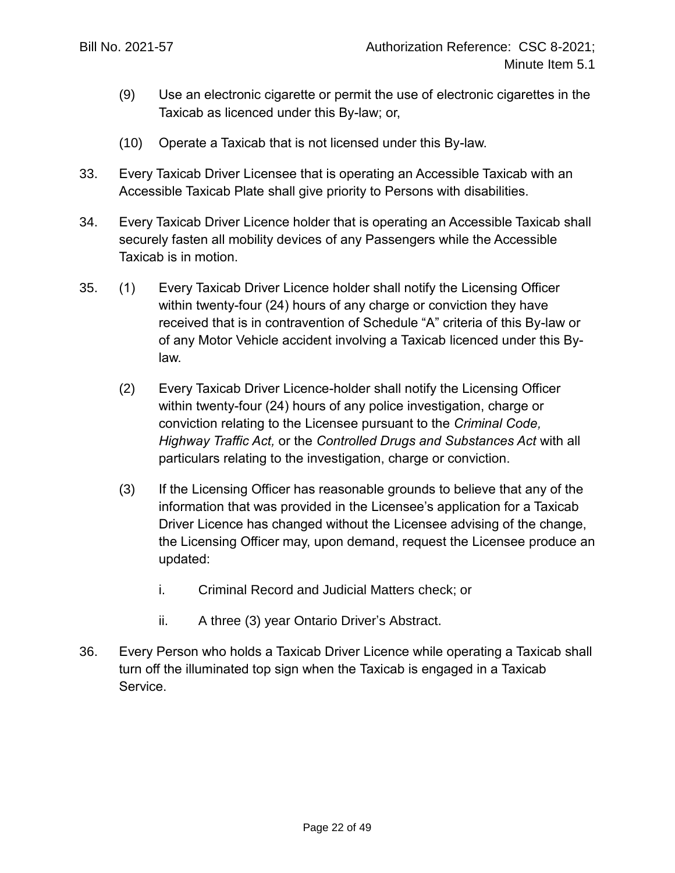- (9) Use an electronic cigarette or permit the use of electronic cigarettes in the Taxicab as licenced under this By-law; or,
- (10) Operate a Taxicab that is not licensed under this By-law.
- 33. Every Taxicab Driver Licensee that is operating an Accessible Taxicab with an Accessible Taxicab Plate shall give priority to Persons with disabilities.
- 34. Every Taxicab Driver Licence holder that is operating an Accessible Taxicab shall securely fasten all mobility devices of any Passengers while the Accessible Taxicab is in motion.
- 35. (1) Every Taxicab Driver Licence holder shall notify the Licensing Officer within twenty-four (24) hours of any charge or conviction they have received that is in contravention of Schedule "A" criteria of this By-law or of any Motor Vehicle accident involving a Taxicab licenced under this Bylaw.
	- (2) Every Taxicab Driver Licence-holder shall notify the Licensing Officer within twenty-four (24) hours of any police investigation, charge or conviction relating to the Licensee pursuant to the *Criminal Code, Highway Traffic Act,* or the *Controlled Drugs and Substances Act* with all particulars relating to the investigation, charge or conviction.
	- (3) If the Licensing Officer has reasonable grounds to believe that any of the information that was provided in the Licensee's application for a Taxicab Driver Licence has changed without the Licensee advising of the change, the Licensing Officer may, upon demand, request the Licensee produce an updated:
		- i. Criminal Record and Judicial Matters check; or
		- ii. A three (3) year Ontario Driver's Abstract.
- 36. Every Person who holds a Taxicab Driver Licence while operating a Taxicab shall turn off the illuminated top sign when the Taxicab is engaged in a Taxicab Service.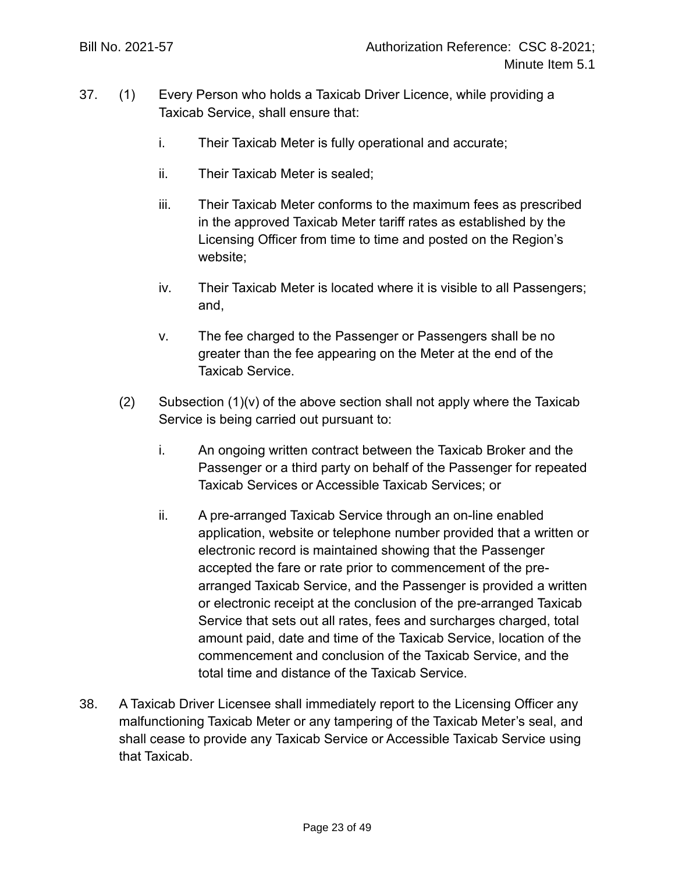- 37. (1) Every Person who holds a Taxicab Driver Licence, while providing a Taxicab Service, shall ensure that:
	- i. Their Taxicab Meter is fully operational and accurate;
	- ii. Their Taxicab Meter is sealed;
	- iii. Their Taxicab Meter conforms to the maximum fees as prescribed in the approved Taxicab Meter tariff rates as established by the Licensing Officer from time to time and posted on the Region's website;
	- iv. Their Taxicab Meter is located where it is visible to all Passengers; and,
	- v. The fee charged to the Passenger or Passengers shall be no greater than the fee appearing on the Meter at the end of the Taxicab Service.
	- $(2)$  Subsection  $(1)(v)$  of the above section shall not apply where the Taxicab Service is being carried out pursuant to:
		- i. An ongoing written contract between the Taxicab Broker and the Passenger or a third party on behalf of the Passenger for repeated Taxicab Services or Accessible Taxicab Services; or
		- ii. A pre-arranged Taxicab Service through an on-line enabled application, website or telephone number provided that a written or electronic record is maintained showing that the Passenger accepted the fare or rate prior to commencement of the prearranged Taxicab Service, and the Passenger is provided a written or electronic receipt at the conclusion of the pre-arranged Taxicab Service that sets out all rates, fees and surcharges charged, total amount paid, date and time of the Taxicab Service, location of the commencement and conclusion of the Taxicab Service, and the total time and distance of the Taxicab Service.
- 38. A Taxicab Driver Licensee shall immediately report to the Licensing Officer any malfunctioning Taxicab Meter or any tampering of the Taxicab Meter's seal, and shall cease to provide any Taxicab Service or Accessible Taxicab Service using that Taxicab.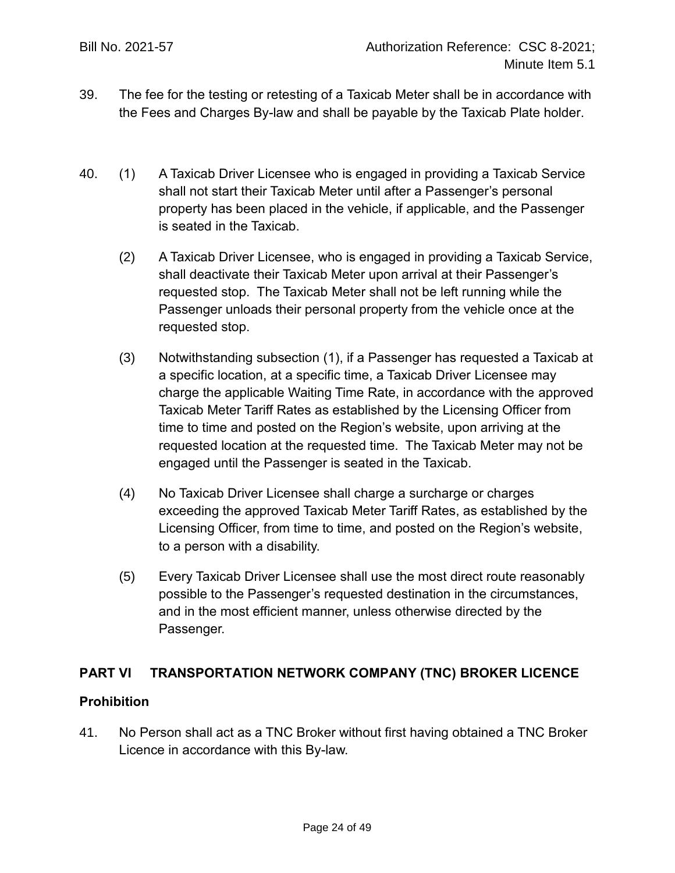- 39. The fee for the testing or retesting of a Taxicab Meter shall be in accordance with the Fees and Charges By-law and shall be payable by the Taxicab Plate holder.
- 40. (1) A Taxicab Driver Licensee who is engaged in providing a Taxicab Service shall not start their Taxicab Meter until after a Passenger's personal property has been placed in the vehicle, if applicable, and the Passenger is seated in the Taxicab.
	- (2) A Taxicab Driver Licensee, who is engaged in providing a Taxicab Service, shall deactivate their Taxicab Meter upon arrival at their Passenger's requested stop. The Taxicab Meter shall not be left running while the Passenger unloads their personal property from the vehicle once at the requested stop.
	- (3) Notwithstanding subsection (1), if a Passenger has requested a Taxicab at a specific location, at a specific time, a Taxicab Driver Licensee may charge the applicable Waiting Time Rate, in accordance with the approved Taxicab Meter Tariff Rates as established by the Licensing Officer from time to time and posted on the Region's website, upon arriving at the requested location at the requested time. The Taxicab Meter may not be engaged until the Passenger is seated in the Taxicab.
	- (4) No Taxicab Driver Licensee shall charge a surcharge or charges exceeding the approved Taxicab Meter Tariff Rates, as established by the Licensing Officer, from time to time, and posted on the Region's website, to a person with a disability.
	- (5) Every Taxicab Driver Licensee shall use the most direct route reasonably possible to the Passenger's requested destination in the circumstances, and in the most efficient manner, unless otherwise directed by the Passenger.

## **PART VI TRANSPORTATION NETWORK COMPANY (TNC) BROKER LICENCE**

## **Prohibition**

41. No Person shall act as a TNC Broker without first having obtained a TNC Broker Licence in accordance with this By-law.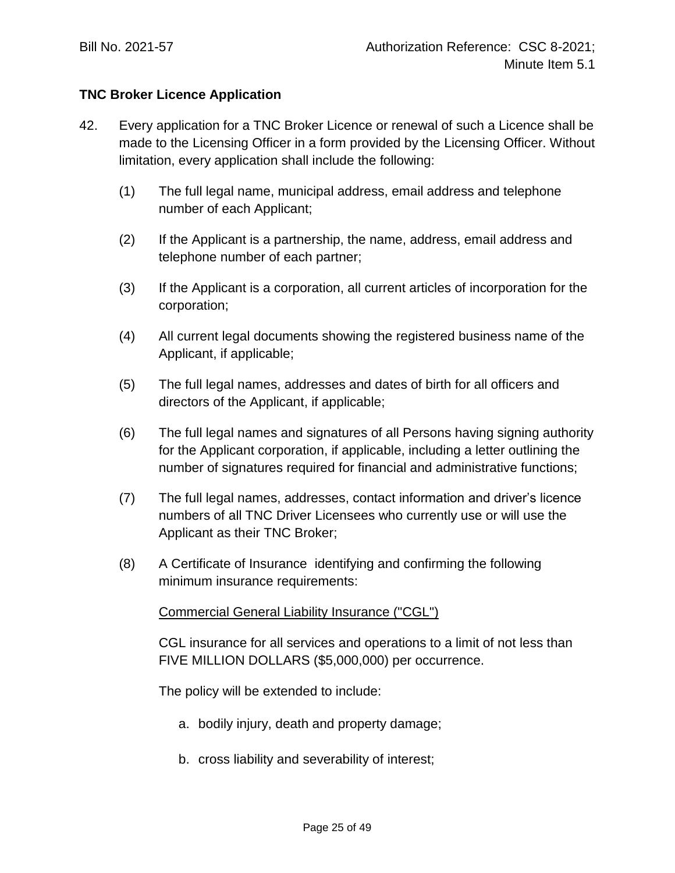## **TNC Broker Licence Application**

- 42. Every application for a TNC Broker Licence or renewal of such a Licence shall be made to the Licensing Officer in a form provided by the Licensing Officer. Without limitation, every application shall include the following:
	- (1) The full legal name, municipal address, email address and telephone number of each Applicant;
	- (2) If the Applicant is a partnership, the name, address, email address and telephone number of each partner;
	- (3) If the Applicant is a corporation, all current articles of incorporation for the corporation;
	- (4) All current legal documents showing the registered business name of the Applicant, if applicable;
	- (5) The full legal names, addresses and dates of birth for all officers and directors of the Applicant, if applicable;
	- (6) The full legal names and signatures of all Persons having signing authority for the Applicant corporation, if applicable, including a letter outlining the number of signatures required for financial and administrative functions;
	- (7) The full legal names, addresses, contact information and driver's licence numbers of all TNC Driver Licensees who currently use or will use the Applicant as their TNC Broker;
	- (8) A Certificate of Insurance identifying and confirming the following minimum insurance requirements:

## Commercial General Liability Insurance ("CGL")

CGL insurance for all services and operations to a limit of not less than FIVE MILLION DOLLARS (\$5,000,000) per occurrence.

The policy will be extended to include:

- a. bodily injury, death and property damage;
- b. cross liability and severability of interest;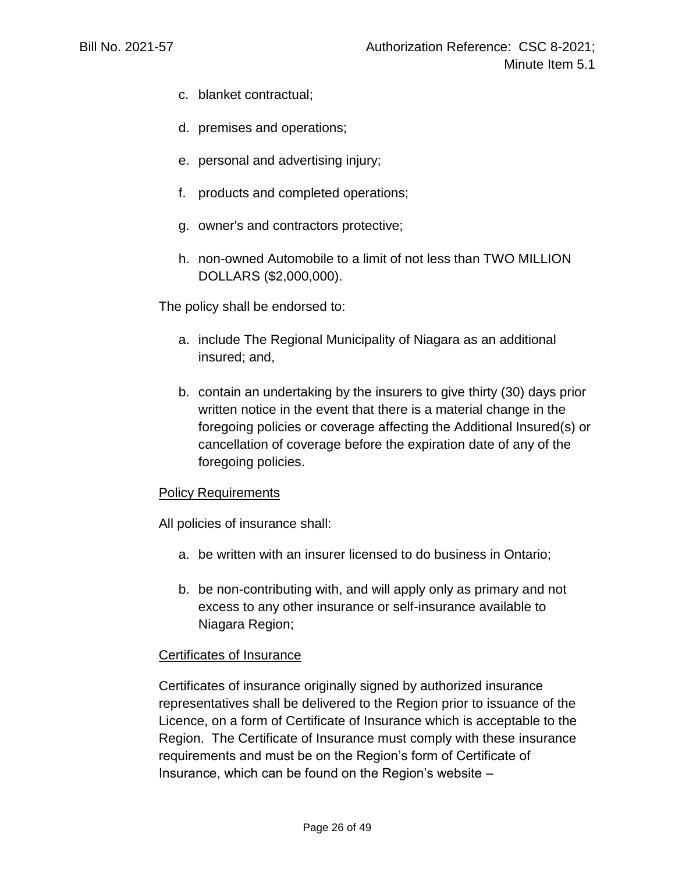- c. blanket contractual;
- d. premises and operations;
- e. personal and advertising injury;
- f. products and completed operations;
- g. owner's and contractors protective;
- h. non-owned Automobile to a limit of not less than TWO MILLION DOLLARS (\$2,000,000).

The policy shall be endorsed to:

- a. include The Regional Municipality of Niagara as an additional insured; and,
- b. contain an undertaking by the insurers to give thirty (30) days prior written notice in the event that there is a material change in the foregoing policies or coverage affecting the Additional Insured(s) or cancellation of coverage before the expiration date of any of the foregoing policies.

#### Policy Requirements

All policies of insurance shall:

- a. be written with an insurer licensed to do business in Ontario;
- b. be non-contributing with, and will apply only as primary and not excess to any other insurance or self-insurance available to Niagara Region;

#### Certificates of Insurance

Certificates of insurance originally signed by authorized insurance representatives shall be delivered to the Region prior to issuance of the Licence, on a form of Certificate of Insurance which is acceptable to the Region. The Certificate of Insurance must comply with these insurance requirements and must be on the Region's form of Certificate of Insurance, which can be found on the Region's website –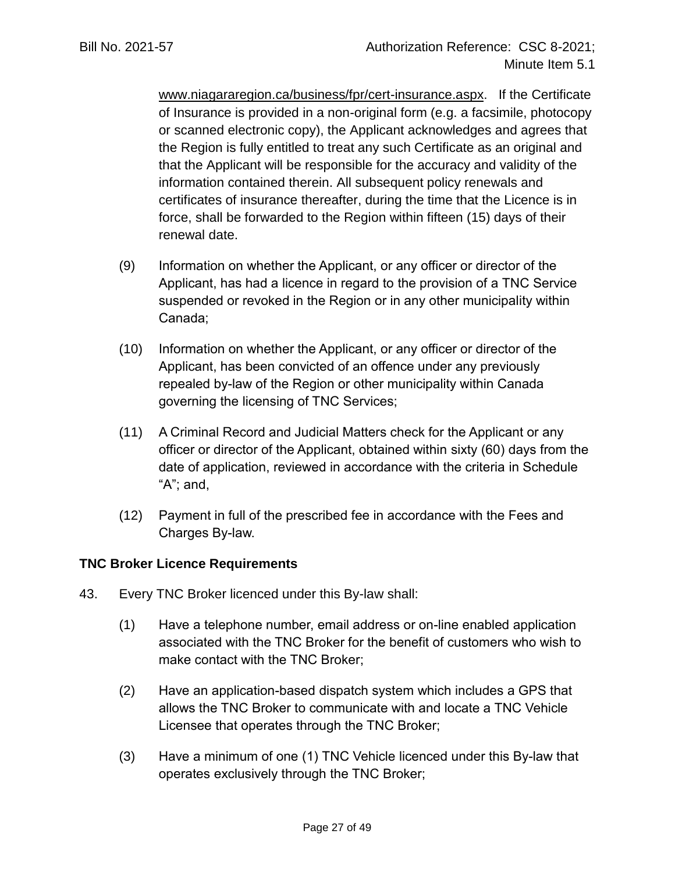[www.niagararegion.ca/business/fpr/cert-insurance.aspx.](http://www.niagararegion.ca/business/fpr/cert-insurance.aspx) If the Certificate of Insurance is provided in a non-original form (e.g. a facsimile, photocopy or scanned electronic copy), the Applicant acknowledges and agrees that the Region is fully entitled to treat any such Certificate as an original and that the Applicant will be responsible for the accuracy and validity of the information contained therein. All subsequent policy renewals and certificates of insurance thereafter, during the time that the Licence is in force, shall be forwarded to the Region within fifteen (15) days of their renewal date.

- (9) Information on whether the Applicant, or any officer or director of the Applicant, has had a licence in regard to the provision of a TNC Service suspended or revoked in the Region or in any other municipality within Canada;
- (10) Information on whether the Applicant, or any officer or director of the Applicant, has been convicted of an offence under any previously repealed by-law of the Region or other municipality within Canada governing the licensing of TNC Services;
- (11) A Criminal Record and Judicial Matters check for the Applicant or any officer or director of the Applicant, obtained within sixty (60) days from the date of application, reviewed in accordance with the criteria in Schedule "A"; and,
- (12) Payment in full of the prescribed fee in accordance with the Fees and Charges By-law.

## **TNC Broker Licence Requirements**

- 43. Every TNC Broker licenced under this By-law shall:
	- (1) Have a telephone number, email address or on-line enabled application associated with the TNC Broker for the benefit of customers who wish to make contact with the TNC Broker;
	- (2) Have an application-based dispatch system which includes a GPS that allows the TNC Broker to communicate with and locate a TNC Vehicle Licensee that operates through the TNC Broker;
	- (3) Have a minimum of one (1) TNC Vehicle licenced under this By-law that operates exclusively through the TNC Broker;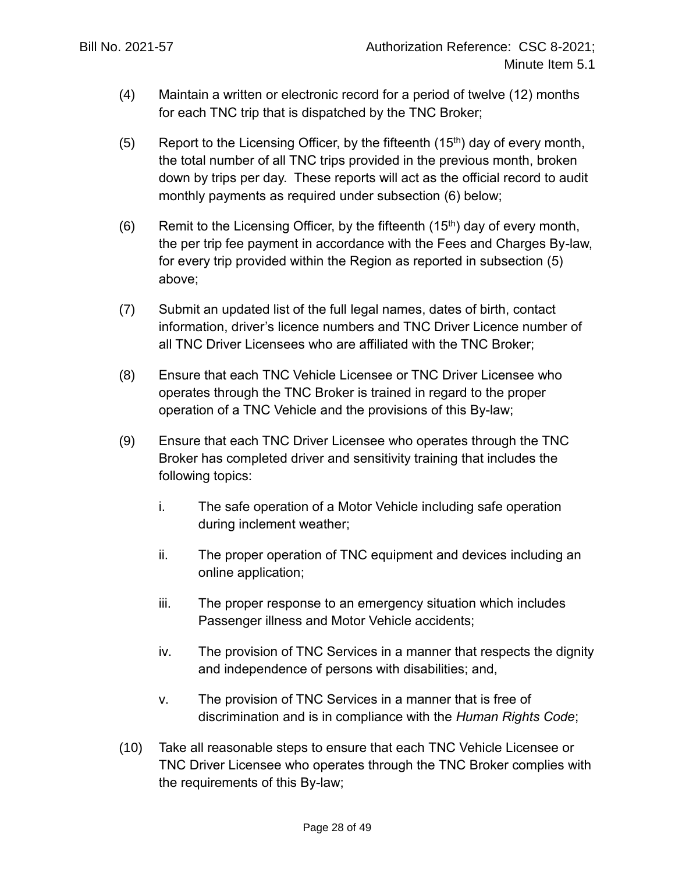- (4) Maintain a written or electronic record for a period of twelve (12) months for each TNC trip that is dispatched by the TNC Broker;
- <span id="page-27-1"></span>(5) Report to the Licensing Officer, by the fifteenth  $(15<sup>th</sup>)$  day of every month, the total number of all TNC trips provided in the previous month, broken down by trips per day. These reports will act as the official record to audit monthly payments as required under subsection [\(6\)](#page-27-0) below;
- <span id="page-27-0"></span>(6) Remit to the Licensing Officer, by the fifteenth  $(15<sup>th</sup>)$  day of every month, the per trip fee payment in accordance with the Fees and Charges By-law, for every trip provided within the Region as reported in subsection [\(5\)](#page-27-1) above;
- (7) Submit an updated list of the full legal names, dates of birth, contact information, driver's licence numbers and TNC Driver Licence number of all TNC Driver Licensees who are affiliated with the TNC Broker;
- (8) Ensure that each TNC Vehicle Licensee or TNC Driver Licensee who operates through the TNC Broker is trained in regard to the proper operation of a TNC Vehicle and the provisions of this By-law;
- (9) Ensure that each TNC Driver Licensee who operates through the TNC Broker has completed driver and sensitivity training that includes the following topics:
	- i. The safe operation of a Motor Vehicle including safe operation during inclement weather;
	- ii. The proper operation of TNC equipment and devices including an online application;
	- iii. The proper response to an emergency situation which includes Passenger illness and Motor Vehicle accidents;
	- iv. The provision of TNC Services in a manner that respects the dignity and independence of persons with disabilities; and,
	- v. The provision of TNC Services in a manner that is free of discrimination and is in compliance with the *Human Rights Code*;
- (10) Take all reasonable steps to ensure that each TNC Vehicle Licensee or TNC Driver Licensee who operates through the TNC Broker complies with the requirements of this By-law;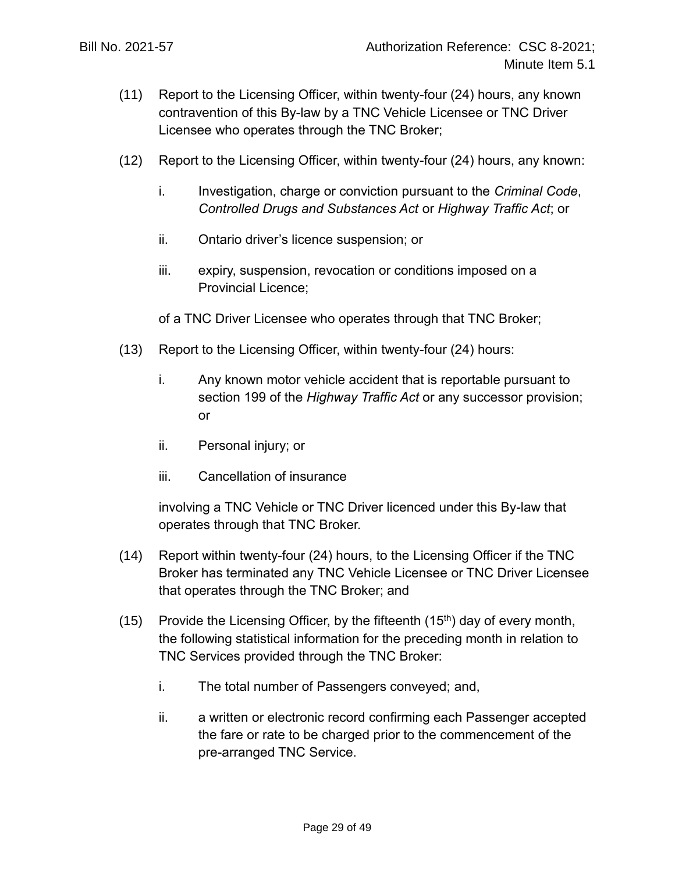- (11) Report to the Licensing Officer, within twenty-four (24) hours, any known contravention of this By-law by a TNC Vehicle Licensee or TNC Driver Licensee who operates through the TNC Broker;
- (12) Report to the Licensing Officer, within twenty-four (24) hours, any known:
	- i. Investigation, charge or conviction pursuant to the *Criminal Code*, *Controlled Drugs and Substances Act* or *Highway Traffic Act*; or
	- ii. Ontario driver's licence suspension; or
	- iii. expiry, suspension, revocation or conditions imposed on a Provincial Licence;

of a TNC Driver Licensee who operates through that TNC Broker;

- (13) Report to the Licensing Officer, within twenty-four (24) hours:
	- i. Any known motor vehicle accident that is reportable pursuant to section 199 of the *Highway Traffic Act* or any successor provision; or
	- ii. Personal injury; or
	- iii. Cancellation of insurance

involving a TNC Vehicle or TNC Driver licenced under this By-law that operates through that TNC Broker.

- (14) Report within twenty-four (24) hours, to the Licensing Officer if the TNC Broker has terminated any TNC Vehicle Licensee or TNC Driver Licensee that operates through the TNC Broker; and
- (15) Provide the Licensing Officer, by the fifteenth  $(15<sup>th</sup>)$  day of every month, the following statistical information for the preceding month in relation to TNC Services provided through the TNC Broker:
	- i. The total number of Passengers conveyed; and,
	- ii. a written or electronic record confirming each Passenger accepted the fare or rate to be charged prior to the commencement of the pre-arranged TNC Service.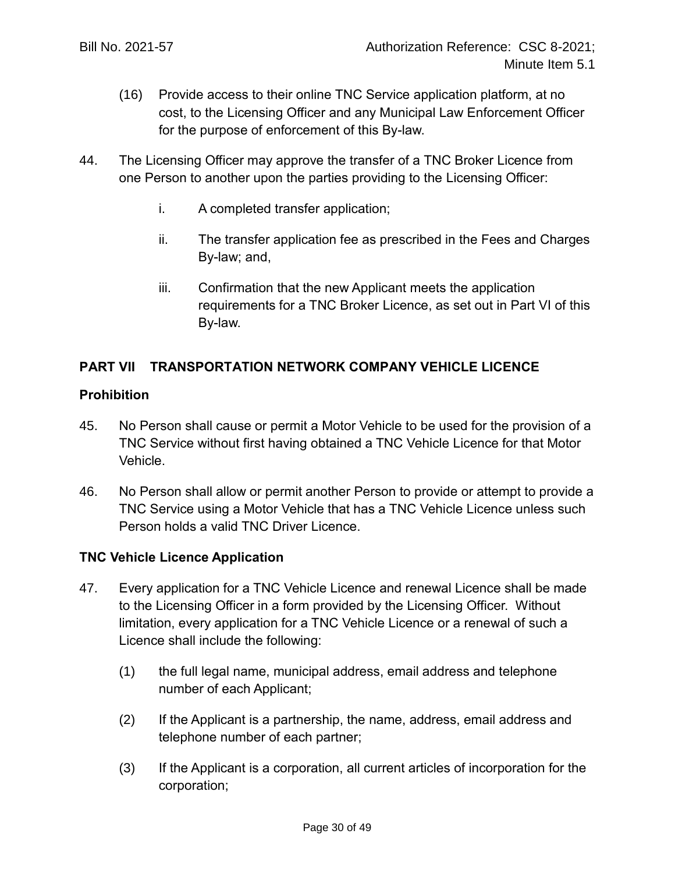- (16) Provide access to their online TNC Service application platform, at no cost, to the Licensing Officer and any Municipal Law Enforcement Officer for the purpose of enforcement of this By-law.
- 44. The Licensing Officer may approve the transfer of a TNC Broker Licence from one Person to another upon the parties providing to the Licensing Officer:
	- i. A completed transfer application;
	- ii. The transfer application fee as prescribed in the Fees and Charges By-law; and,
	- iii. Confirmation that the new Applicant meets the application requirements for a TNC Broker Licence, as set out in Part VI of this By-law.

## **PART VII TRANSPORTATION NETWORK COMPANY VEHICLE LICENCE**

## **Prohibition**

- 45. No Person shall cause or permit a Motor Vehicle to be used for the provision of a TNC Service without first having obtained a TNC Vehicle Licence for that Motor Vehicle.
- 46. No Person shall allow or permit another Person to provide or attempt to provide a TNC Service using a Motor Vehicle that has a TNC Vehicle Licence unless such Person holds a valid TNC Driver Licence.

#### **TNC Vehicle Licence Application**

- 47. Every application for a TNC Vehicle Licence and renewal Licence shall be made to the Licensing Officer in a form provided by the Licensing Officer. Without limitation, every application for a TNC Vehicle Licence or a renewal of such a Licence shall include the following:
	- (1) the full legal name, municipal address, email address and telephone number of each Applicant;
	- (2) If the Applicant is a partnership, the name, address, email address and telephone number of each partner;
	- (3) If the Applicant is a corporation, all current articles of incorporation for the corporation;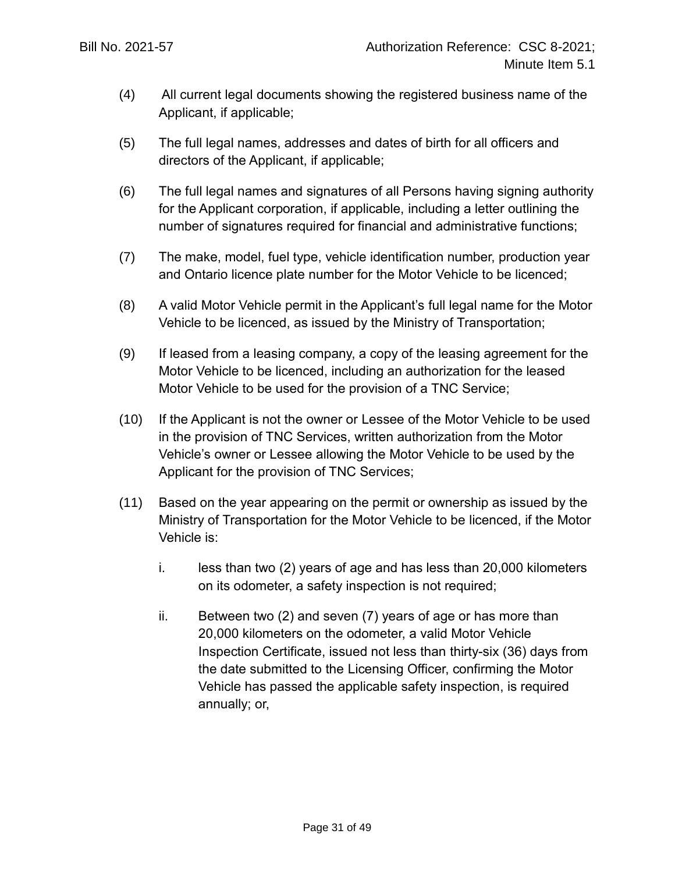- (4) All current legal documents showing the registered business name of the Applicant, if applicable;
- (5) The full legal names, addresses and dates of birth for all officers and directors of the Applicant, if applicable;
- (6) The full legal names and signatures of all Persons having signing authority for the Applicant corporation, if applicable, including a letter outlining the number of signatures required for financial and administrative functions;
- (7) The make, model, fuel type, vehicle identification number, production year and Ontario licence plate number for the Motor Vehicle to be licenced;
- (8) A valid Motor Vehicle permit in the Applicant's full legal name for the Motor Vehicle to be licenced, as issued by the Ministry of Transportation;
- (9) If leased from a leasing company, a copy of the leasing agreement for the Motor Vehicle to be licenced, including an authorization for the leased Motor Vehicle to be used for the provision of a TNC Service;
- (10) If the Applicant is not the owner or Lessee of the Motor Vehicle to be used in the provision of TNC Services, written authorization from the Motor Vehicle's owner or Lessee allowing the Motor Vehicle to be used by the Applicant for the provision of TNC Services;
- (11) Based on the year appearing on the permit or ownership as issued by the Ministry of Transportation for the Motor Vehicle to be licenced, if the Motor Vehicle is:
	- i. less than two (2) years of age and has less than 20,000 kilometers on its odometer, a safety inspection is not required;
	- ii. Between two (2) and seven (7) years of age or has more than 20,000 kilometers on the odometer, a valid Motor Vehicle Inspection Certificate, issued not less than thirty-six (36) days from the date submitted to the Licensing Officer, confirming the Motor Vehicle has passed the applicable safety inspection, is required annually; or,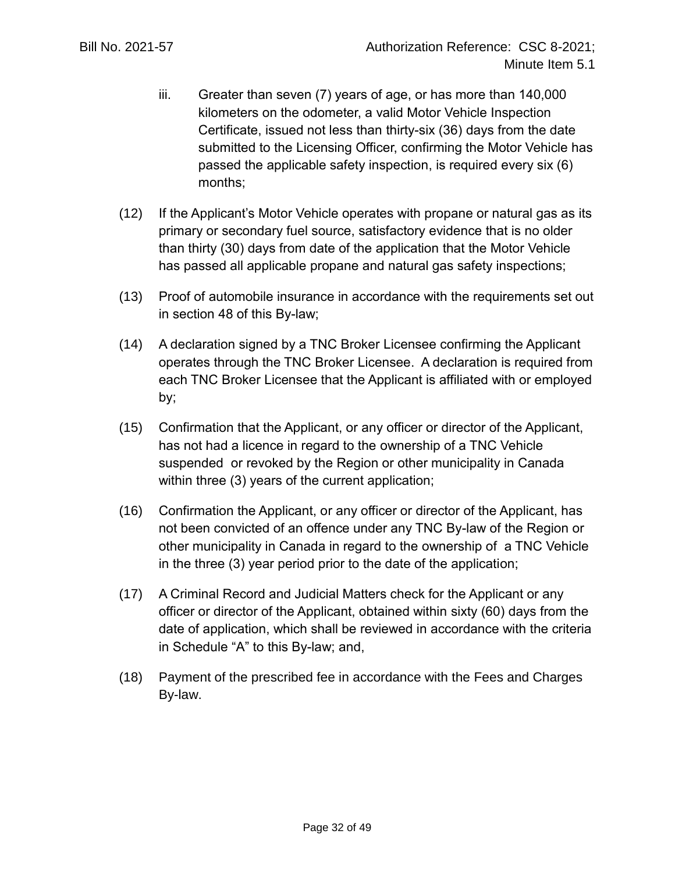- iii. Greater than seven (7) years of age, or has more than 140,000 kilometers on the odometer, a valid Motor Vehicle Inspection Certificate, issued not less than thirty-six (36) days from the date submitted to the Licensing Officer, confirming the Motor Vehicle has passed the applicable safety inspection, is required every six (6) months;
- (12) If the Applicant's Motor Vehicle operates with propane or natural gas as its primary or secondary fuel source, satisfactory evidence that is no older than thirty (30) days from date of the application that the Motor Vehicle has passed all applicable propane and natural gas safety inspections;
- (13) Proof of automobile insurance in accordance with the requirements set out in section [48](#page-32-0) of this By-law;
- (14) A declaration signed by a TNC Broker Licensee confirming the Applicant operates through the TNC Broker Licensee. A declaration is required from each TNC Broker Licensee that the Applicant is affiliated with or employed by;
- (15) Confirmation that the Applicant, or any officer or director of the Applicant, has not had a licence in regard to the ownership of a TNC Vehicle suspended or revoked by the Region or other municipality in Canada within three (3) years of the current application;
- (16) Confirmation the Applicant, or any officer or director of the Applicant, has not been convicted of an offence under any TNC By-law of the Region or other municipality in Canada in regard to the ownership of a TNC Vehicle in the three (3) year period prior to the date of the application;
- (17) A Criminal Record and Judicial Matters check for the Applicant or any officer or director of the Applicant, obtained within sixty (60) days from the date of application, which shall be reviewed in accordance with the criteria in Schedule "A" to this By-law; and,
- (18) Payment of the prescribed fee in accordance with the Fees and Charges By-law.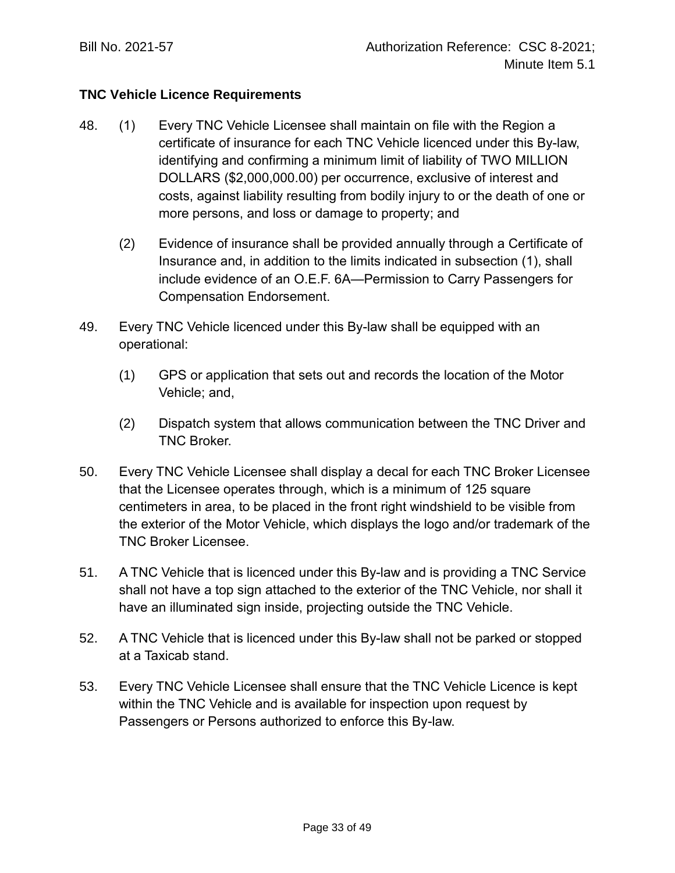## **TNC Vehicle Licence Requirements**

- <span id="page-32-0"></span>48. (1) Every TNC Vehicle Licensee shall maintain on file with the Region a certificate of insurance for each TNC Vehicle licenced under this By-law, identifying and confirming a minimum limit of liability of TWO MILLION DOLLARS (\$2,000,000.00) per occurrence, exclusive of interest and costs, against liability resulting from bodily injury to or the death of one or more persons, and loss or damage to property; and
	- (2) Evidence of insurance shall be provided annually through a Certificate of Insurance and, in addition to the limits indicated in subsection (1), shall include evidence of an O.E.F. 6A—Permission to Carry Passengers for Compensation Endorsement.
- 49. Every TNC Vehicle licenced under this By-law shall be equipped with an operational:
	- (1) GPS or application that sets out and records the location of the Motor Vehicle; and,
	- (2) Dispatch system that allows communication between the TNC Driver and TNC Broker.
- 50. Every TNC Vehicle Licensee shall display a decal for each TNC Broker Licensee that the Licensee operates through, which is a minimum of 125 square centimeters in area, to be placed in the front right windshield to be visible from the exterior of the Motor Vehicle, which displays the logo and/or trademark of the TNC Broker Licensee.
- 51. A TNC Vehicle that is licenced under this By-law and is providing a TNC Service shall not have a top sign attached to the exterior of the TNC Vehicle, nor shall it have an illuminated sign inside, projecting outside the TNC Vehicle.
- 52. A TNC Vehicle that is licenced under this By-law shall not be parked or stopped at a Taxicab stand.
- 53. Every TNC Vehicle Licensee shall ensure that the TNC Vehicle Licence is kept within the TNC Vehicle and is available for inspection upon request by Passengers or Persons authorized to enforce this By-law.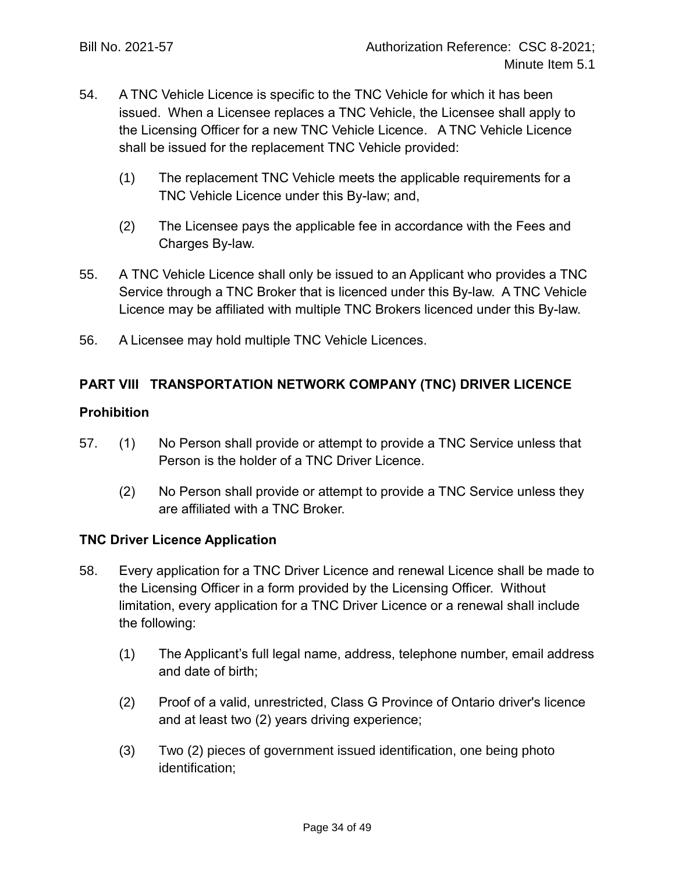- 54. A TNC Vehicle Licence is specific to the TNC Vehicle for which it has been issued. When a Licensee replaces a TNC Vehicle, the Licensee shall apply to the Licensing Officer for a new TNC Vehicle Licence. A TNC Vehicle Licence shall be issued for the replacement TNC Vehicle provided:
	- (1) The replacement TNC Vehicle meets the applicable requirements for a TNC Vehicle Licence under this By-law; and,
	- (2) The Licensee pays the applicable fee in accordance with the Fees and Charges By-law.
- 55. A TNC Vehicle Licence shall only be issued to an Applicant who provides a TNC Service through a TNC Broker that is licenced under this By-law. A TNC Vehicle Licence may be affiliated with multiple TNC Brokers licenced under this By-law.
- 56. A Licensee may hold multiple TNC Vehicle Licences.

## **PART VIII TRANSPORTATION NETWORK COMPANY (TNC) DRIVER LICENCE**

## **Prohibition**

- 57. (1) No Person shall provide or attempt to provide a TNC Service unless that Person is the holder of a TNC Driver Licence.
	- (2) No Person shall provide or attempt to provide a TNC Service unless they are affiliated with a TNC Broker.

## **TNC Driver Licence Application**

- 58. Every application for a TNC Driver Licence and renewal Licence shall be made to the Licensing Officer in a form provided by the Licensing Officer. Without limitation, every application for a TNC Driver Licence or a renewal shall include the following:
	- (1) The Applicant's full legal name, address, telephone number, email address and date of birth;
	- (2) Proof of a valid, unrestricted, Class G Province of Ontario driver's licence and at least two (2) years driving experience;
	- (3) Two (2) pieces of government issued identification, one being photo identification;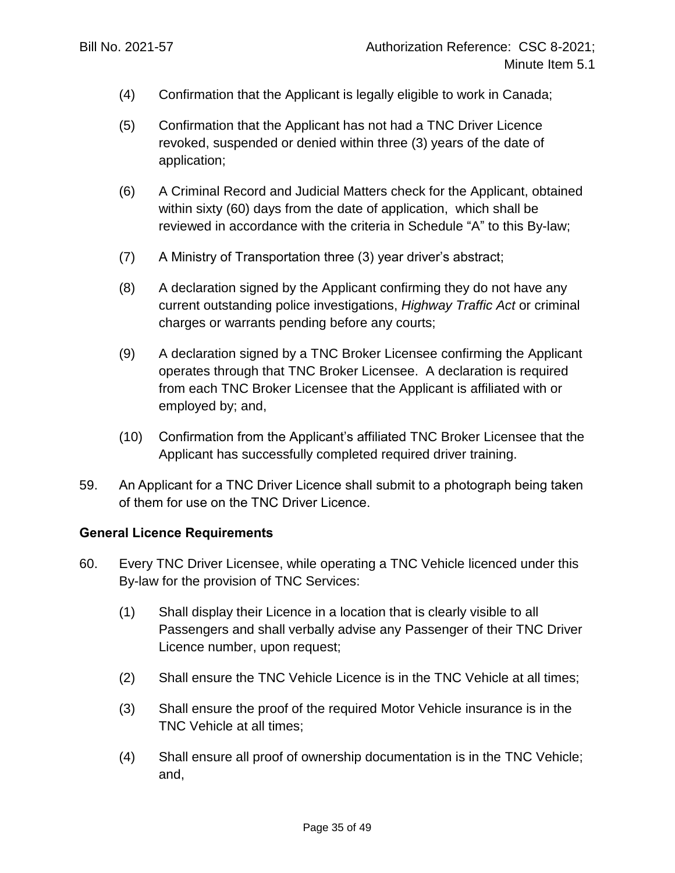- (4) Confirmation that the Applicant is legally eligible to work in Canada;
- (5) Confirmation that the Applicant has not had a TNC Driver Licence revoked, suspended or denied within three (3) years of the date of application;
- (6) A Criminal Record and Judicial Matters check for the Applicant, obtained within sixty (60) days from the date of application, which shall be reviewed in accordance with the criteria in Schedule "A" to this By-law;
- (7) A Ministry of Transportation three (3) year driver's abstract;
- (8) A declaration signed by the Applicant confirming they do not have any current outstanding police investigations, *Highway Traffic Act* or criminal charges or warrants pending before any courts;
- (9) A declaration signed by a TNC Broker Licensee confirming the Applicant operates through that TNC Broker Licensee. A declaration is required from each TNC Broker Licensee that the Applicant is affiliated with or employed by; and,
- (10) Confirmation from the Applicant's affiliated TNC Broker Licensee that the Applicant has successfully completed required driver training.
- 59. An Applicant for a TNC Driver Licence shall submit to a photograph being taken of them for use on the TNC Driver Licence.

#### **General Licence Requirements**

- 60. Every TNC Driver Licensee, while operating a TNC Vehicle licenced under this By-law for the provision of TNC Services:
	- (1) Shall display their Licence in a location that is clearly visible to all Passengers and shall verbally advise any Passenger of their TNC Driver Licence number, upon request;
	- (2) Shall ensure the TNC Vehicle Licence is in the TNC Vehicle at all times;
	- (3) Shall ensure the proof of the required Motor Vehicle insurance is in the TNC Vehicle at all times;
	- (4) Shall ensure all proof of ownership documentation is in the TNC Vehicle; and,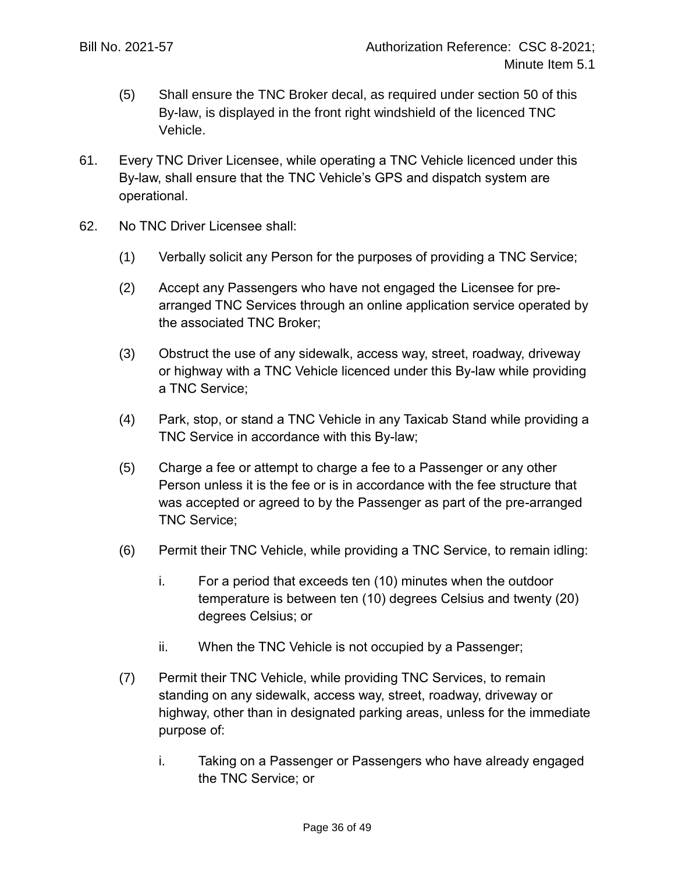- (5) Shall ensure the TNC Broker decal, as required under section 50 of this By-law, is displayed in the front right windshield of the licenced TNC Vehicle.
- 61. Every TNC Driver Licensee, while operating a TNC Vehicle licenced under this By-law, shall ensure that the TNC Vehicle's GPS and dispatch system are operational.
- 62. No TNC Driver Licensee shall:
	- (1) Verbally solicit any Person for the purposes of providing a TNC Service;
	- (2) Accept any Passengers who have not engaged the Licensee for prearranged TNC Services through an online application service operated by the associated TNC Broker;
	- (3) Obstruct the use of any sidewalk, access way, street, roadway, driveway or highway with a TNC Vehicle licenced under this By-law while providing a TNC Service;
	- (4) Park, stop, or stand a TNC Vehicle in any Taxicab Stand while providing a TNC Service in accordance with this By-law;
	- (5) Charge a fee or attempt to charge a fee to a Passenger or any other Person unless it is the fee or is in accordance with the fee structure that was accepted or agreed to by the Passenger as part of the pre-arranged TNC Service;
	- (6) Permit their TNC Vehicle, while providing a TNC Service, to remain idling:
		- i. For a period that exceeds ten (10) minutes when the outdoor temperature is between ten (10) degrees Celsius and twenty (20) degrees Celsius; or
		- ii. When the TNC Vehicle is not occupied by a Passenger;
	- (7) Permit their TNC Vehicle, while providing TNC Services, to remain standing on any sidewalk, access way, street, roadway, driveway or highway, other than in designated parking areas, unless for the immediate purpose of:
		- i. Taking on a Passenger or Passengers who have already engaged the TNC Service; or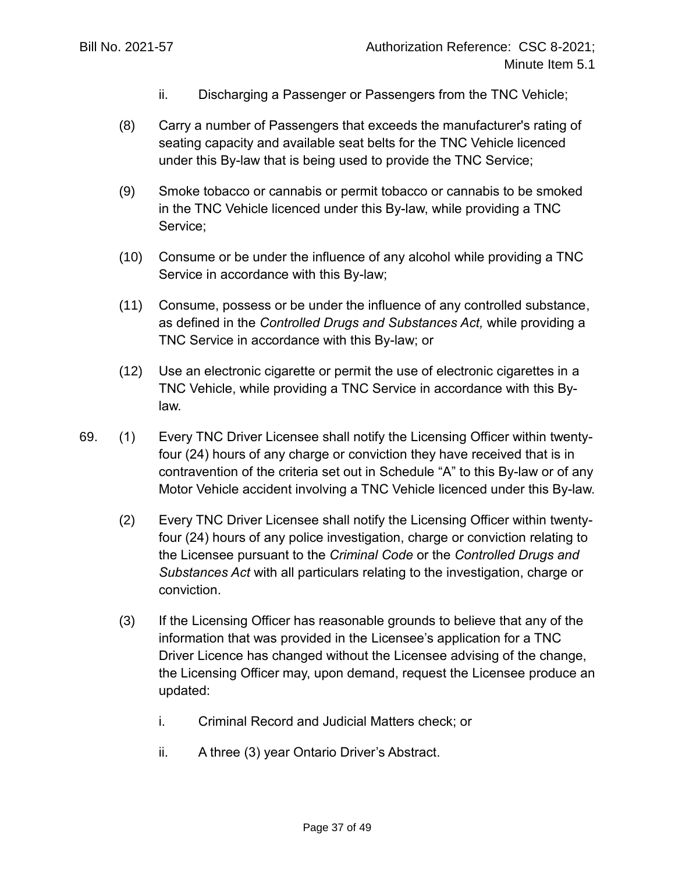- ii. Discharging a Passenger or Passengers from the TNC Vehicle;
- (8) Carry a number of Passengers that exceeds the manufacturer's rating of seating capacity and available seat belts for the TNC Vehicle licenced under this By-law that is being used to provide the TNC Service;
- (9) Smoke tobacco or cannabis or permit tobacco or cannabis to be smoked in the TNC Vehicle licenced under this By-law, while providing a TNC Service;
- (10) Consume or be under the influence of any alcohol while providing a TNC Service in accordance with this By-law;
- (11) Consume, possess or be under the influence of any controlled substance, as defined in the *Controlled Drugs and Substances Act,* while providing a TNC Service in accordance with this By-law; or
- (12) Use an electronic cigarette or permit the use of electronic cigarettes in a TNC Vehicle, while providing a TNC Service in accordance with this Bylaw.
- 69. (1) Every TNC Driver Licensee shall notify the Licensing Officer within twentyfour (24) hours of any charge or conviction they have received that is in contravention of the criteria set out in Schedule "A" to this By-law or of any Motor Vehicle accident involving a TNC Vehicle licenced under this By-law.
	- (2) Every TNC Driver Licensee shall notify the Licensing Officer within twentyfour (24) hours of any police investigation, charge or conviction relating to the Licensee pursuant to the *Criminal Code* or the *Controlled Drugs and Substances Act* with all particulars relating to the investigation, charge or conviction.
	- (3) If the Licensing Officer has reasonable grounds to believe that any of the information that was provided in the Licensee's application for a TNC Driver Licence has changed without the Licensee advising of the change, the Licensing Officer may, upon demand, request the Licensee produce an updated:
		- i. Criminal Record and Judicial Matters check; or
		- ii. A three (3) year Ontario Driver's Abstract.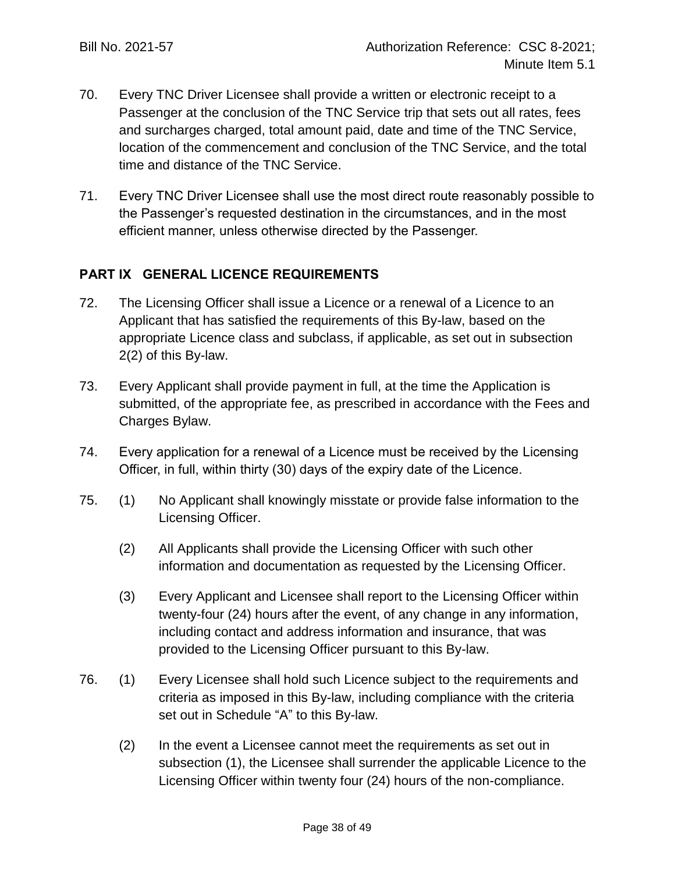- 70. Every TNC Driver Licensee shall provide a written or electronic receipt to a Passenger at the conclusion of the TNC Service trip that sets out all rates, fees and surcharges charged, total amount paid, date and time of the TNC Service, location of the commencement and conclusion of the TNC Service, and the total time and distance of the TNC Service.
- 71. Every TNC Driver Licensee shall use the most direct route reasonably possible to the Passenger's requested destination in the circumstances, and in the most efficient manner, unless otherwise directed by the Passenger.

## **PART IX GENERAL LICENCE REQUIREMENTS**

- 72. The Licensing Officer shall issue a Licence or a renewal of a Licence to an Applicant that has satisfied the requirements of this By-law, based on the appropriate Licence class and subclass, if applicable, as set out in subsection [2\(](#page-4-0)2) of this By-law.
- 73. Every Applicant shall provide payment in full, at the time the Application is submitted, of the appropriate fee, as prescribed in accordance with the Fees and Charges Bylaw.
- 74. Every application for a renewal of a Licence must be received by the Licensing Officer, in full, within thirty (30) days of the expiry date of the Licence.
- 75. (1) No Applicant shall knowingly misstate or provide false information to the Licensing Officer.
	- (2) All Applicants shall provide the Licensing Officer with such other information and documentation as requested by the Licensing Officer.
	- (3) Every Applicant and Licensee shall report to the Licensing Officer within twenty-four (24) hours after the event, of any change in any information, including contact and address information and insurance, that was provided to the Licensing Officer pursuant to this By-law.
- 76. (1) Every Licensee shall hold such Licence subject to the requirements and criteria as imposed in this By-law, including compliance with the criteria set out in Schedule "A" to this By-law.
	- (2) In the event a Licensee cannot meet the requirements as set out in subsection (1), the Licensee shall surrender the applicable Licence to the Licensing Officer within twenty four (24) hours of the non-compliance.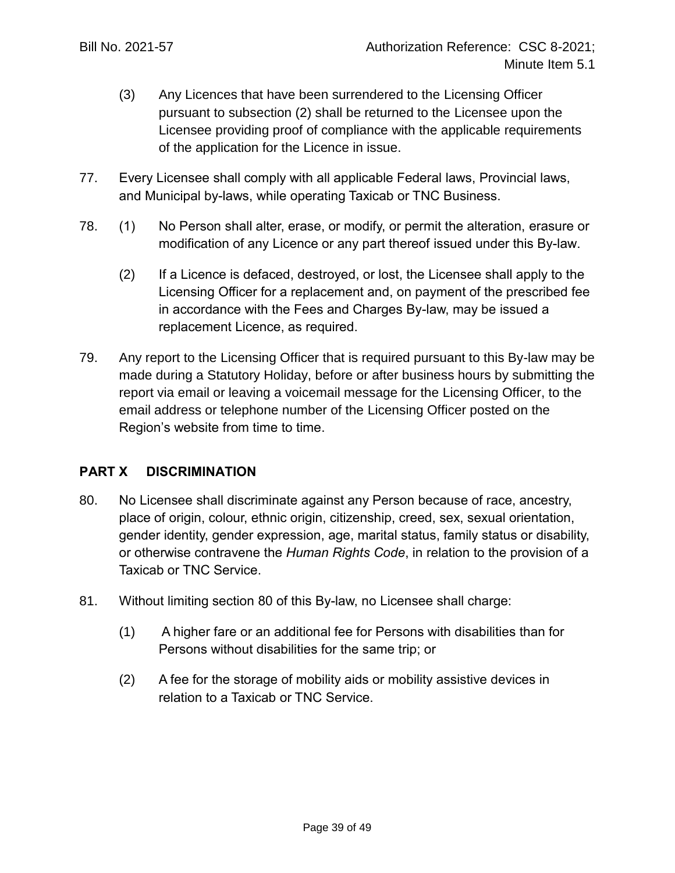- (3) Any Licences that have been surrendered to the Licensing Officer pursuant to subsection (2) shall be returned to the Licensee upon the Licensee providing proof of compliance with the applicable requirements of the application for the Licence in issue.
- 77. Every Licensee shall comply with all applicable Federal laws, Provincial laws, and Municipal by-laws, while operating Taxicab or TNC Business.
- 78. (1) No Person shall alter, erase, or modify, or permit the alteration, erasure or modification of any Licence or any part thereof issued under this By-law.
	- (2) If a Licence is defaced, destroyed, or lost, the Licensee shall apply to the Licensing Officer for a replacement and, on payment of the prescribed fee in accordance with the Fees and Charges By-law, may be issued a replacement Licence, as required.
- 79. Any report to the Licensing Officer that is required pursuant to this By-law may be made during a Statutory Holiday, before or after business hours by submitting the report via email or leaving a voicemail message for the Licensing Officer, to the email address or telephone number of the Licensing Officer posted on the Region's website from time to time.

## **PART X DISCRIMINATION**

- 80. No Licensee shall discriminate against any Person because of race, ancestry, place of origin, colour, ethnic origin, citizenship, creed, sex, sexual orientation, gender identity, gender expression, age, marital status, family status or disability, or otherwise contravene the *Human Rights Code*, in relation to the provision of a Taxicab or TNC Service.
- 81. Without limiting section 80 of this By-law, no Licensee shall charge:
	- (1) A higher fare or an additional fee for Persons with disabilities than for Persons without disabilities for the same trip; or
	- (2) A fee for the storage of mobility aids or mobility assistive devices in relation to a Taxicab or TNC Service.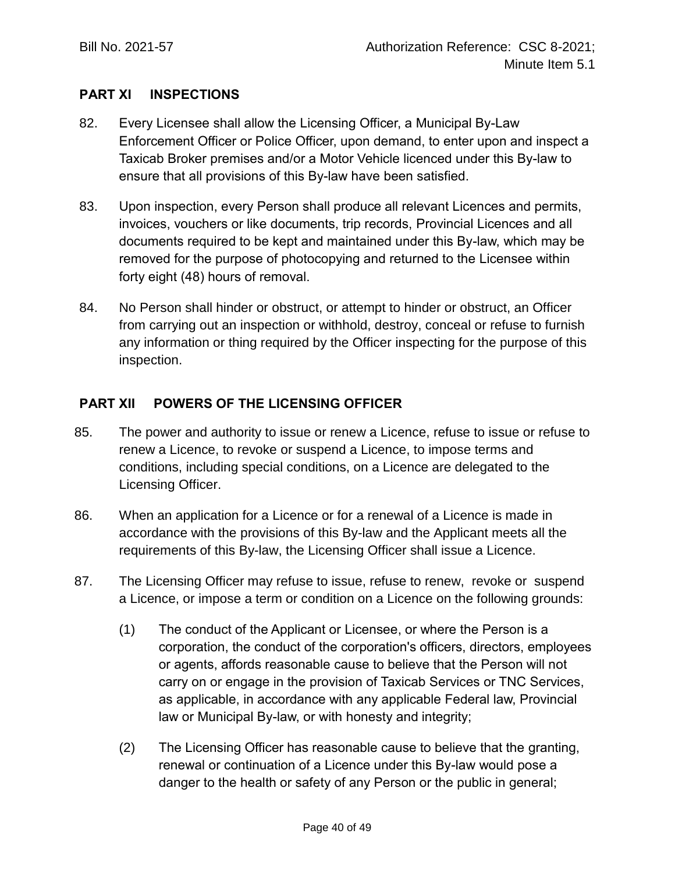## **PART XI INSPECTIONS**

- 82. Every Licensee shall allow the Licensing Officer, a Municipal By-Law Enforcement Officer or Police Officer, upon demand, to enter upon and inspect a Taxicab Broker premises and/or a Motor Vehicle licenced under this By-law to ensure that all provisions of this By-law have been satisfied.
- 83. Upon inspection, every Person shall produce all relevant Licences and permits, invoices, vouchers or like documents, trip records, Provincial Licences and all documents required to be kept and maintained under this By-law, which may be removed for the purpose of photocopying and returned to the Licensee within forty eight (48) hours of removal.
- 84. No Person shall hinder or obstruct, or attempt to hinder or obstruct, an Officer from carrying out an inspection or withhold, destroy, conceal or refuse to furnish any information or thing required by the Officer inspecting for the purpose of this inspection.

## **PART XII POWERS OF THE LICENSING OFFICER**

- 85. The power and authority to issue or renew a Licence, refuse to issue or refuse to renew a Licence, to revoke or suspend a Licence, to impose terms and conditions, including special conditions, on a Licence are delegated to the Licensing Officer.
- 86. When an application for a Licence or for a renewal of a Licence is made in accordance with the provisions of this By-law and the Applicant meets all the requirements of this By-law, the Licensing Officer shall issue a Licence.
- 87. The Licensing Officer may refuse to issue, refuse to renew, revoke or suspend a Licence, or impose a term or condition on a Licence on the following grounds:
	- (1) The conduct of the Applicant or Licensee, or where the Person is a corporation, the conduct of the corporation's officers, directors, employees or agents, affords reasonable cause to believe that the Person will not carry on or engage in the provision of Taxicab Services or TNC Services, as applicable, in accordance with any applicable Federal law, Provincial law or Municipal By-law, or with honesty and integrity;
	- (2) The Licensing Officer has reasonable cause to believe that the granting, renewal or continuation of a Licence under this By-law would pose a danger to the health or safety of any Person or the public in general;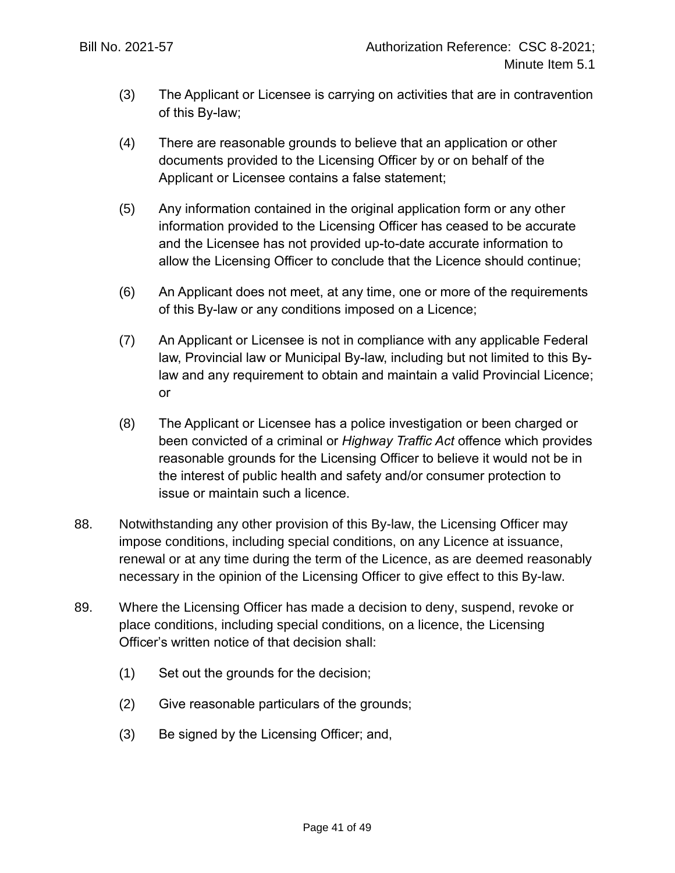- (3) The Applicant or Licensee is carrying on activities that are in contravention of this By-law;
- (4) There are reasonable grounds to believe that an application or other documents provided to the Licensing Officer by or on behalf of the Applicant or Licensee contains a false statement;
- (5) Any information contained in the original application form or any other information provided to the Licensing Officer has ceased to be accurate and the Licensee has not provided up-to-date accurate information to allow the Licensing Officer to conclude that the Licence should continue;
- (6) An Applicant does not meet, at any time, one or more of the requirements of this By-law or any conditions imposed on a Licence;
- (7) An Applicant or Licensee is not in compliance with any applicable Federal law, Provincial law or Municipal By-law, including but not limited to this Bylaw and any requirement to obtain and maintain a valid Provincial Licence; or
- (8) The Applicant or Licensee has a police investigation or been charged or been convicted of a criminal or *Highway Traffic Act* offence which provides reasonable grounds for the Licensing Officer to believe it would not be in the interest of public health and safety and/or consumer protection to issue or maintain such a licence.
- 88. Notwithstanding any other provision of this By-law, the Licensing Officer may impose conditions, including special conditions, on any Licence at issuance, renewal or at any time during the term of the Licence, as are deemed reasonably necessary in the opinion of the Licensing Officer to give effect to this By-law.
- 89. Where the Licensing Officer has made a decision to deny, suspend, revoke or place conditions, including special conditions, on a licence, the Licensing Officer's written notice of that decision shall:
	- (1) Set out the grounds for the decision;
	- (2) Give reasonable particulars of the grounds;
	- (3) Be signed by the Licensing Officer; and,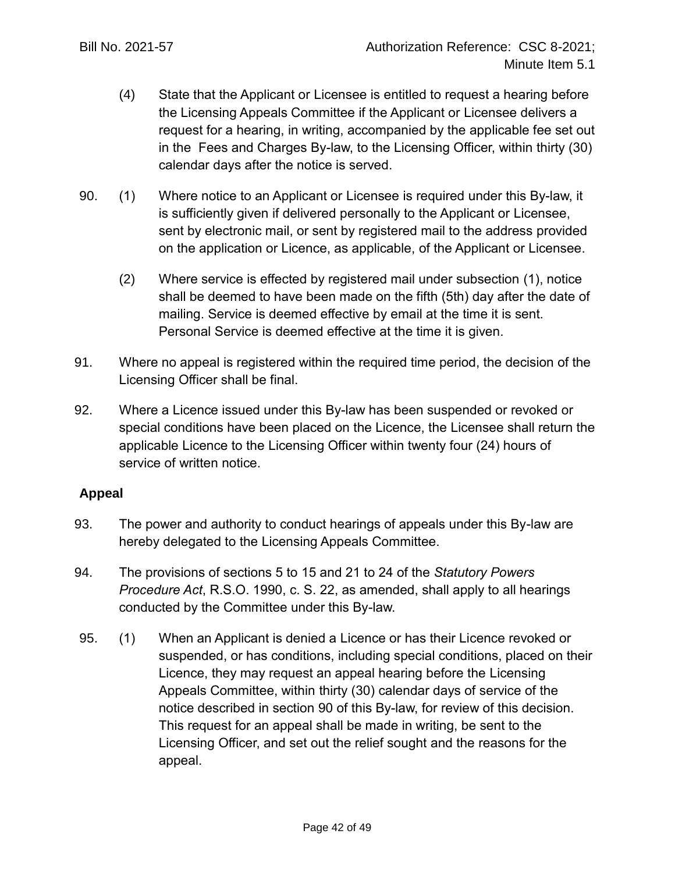- (4) State that the Applicant or Licensee is entitled to request a hearing before the Licensing Appeals Committee if the Applicant or Licensee delivers a request for a hearing, in writing, accompanied by the applicable fee set out in the Fees and Charges By-law, to the Licensing Officer, within thirty (30) calendar days after the notice is served.
- 90. (1) Where notice to an Applicant or Licensee is required under this By-law, it is sufficiently given if delivered personally to the Applicant or Licensee, sent by electronic mail, or sent by registered mail to the address provided on the application or Licence, as applicable, of the Applicant or Licensee.
	- (2) Where service is effected by registered mail under subsection (1), notice shall be deemed to have been made on the fifth (5th) day after the date of mailing. Service is deemed effective by email at the time it is sent. Personal Service is deemed effective at the time it is given.
- 91. Where no appeal is registered within the required time period, the decision of the Licensing Officer shall be final.
- 92. Where a Licence issued under this By-law has been suspended or revoked or special conditions have been placed on the Licence, the Licensee shall return the applicable Licence to the Licensing Officer within twenty four (24) hours of service of written notice.

## **Appeal**

- 93. The power and authority to conduct hearings of appeals under this By-law are hereby delegated to the Licensing Appeals Committee.
- 94. The provisions of sections 5 to 15 and 21 to 24 of the *Statutory Powers Procedure Act*, R.S.O. 1990, c. S. 22, as amended, shall apply to all hearings conducted by the Committee under this By-law.
- 95. (1) When an Applicant is denied a Licence or has their Licence revoked or suspended, or has conditions, including special conditions, placed on their Licence, they may request an appeal hearing before the Licensing Appeals Committee, within thirty (30) calendar days of service of the notice described in section 90 of this By-law, for review of this decision. This request for an appeal shall be made in writing, be sent to the Licensing Officer, and set out the relief sought and the reasons for the appeal.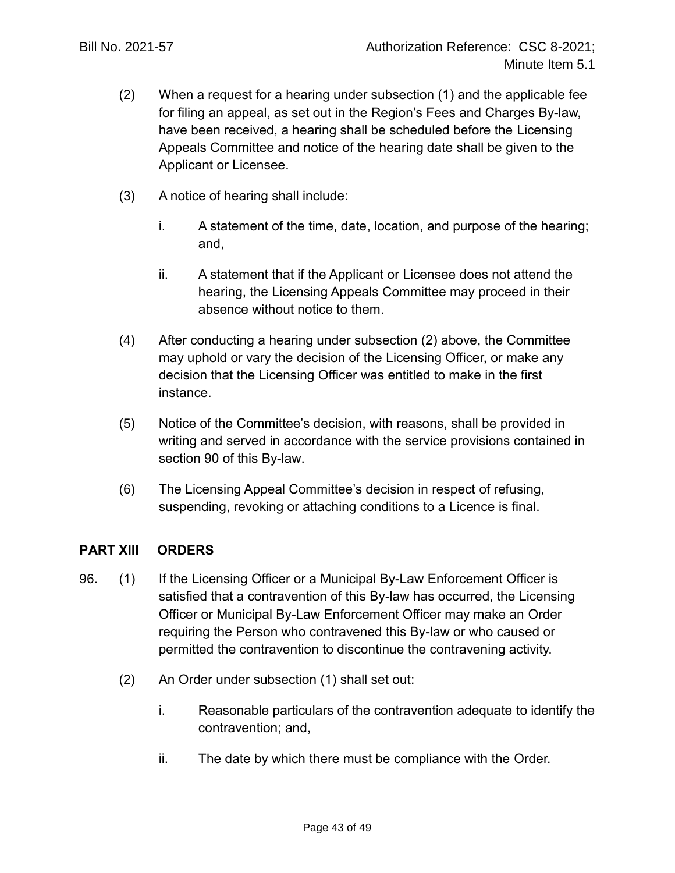- (2) When a request for a hearing under subsection (1) and the applicable fee for filing an appeal, as set out in the Region's Fees and Charges By-law, have been received, a hearing shall be scheduled before the Licensing Appeals Committee and notice of the hearing date shall be given to the Applicant or Licensee.
- (3) A notice of hearing shall include:
	- i. A statement of the time, date, location, and purpose of the hearing; and,
	- ii. A statement that if the Applicant or Licensee does not attend the hearing, the Licensing Appeals Committee may proceed in their absence without notice to them.
- (4) After conducting a hearing under subsection (2) above, the Committee may uphold or vary the decision of the Licensing Officer, or make any decision that the Licensing Officer was entitled to make in the first instance.
- (5) Notice of the Committee's decision, with reasons, shall be provided in writing and served in accordance with the service provisions contained in section 90 of this By-law.
- (6) The Licensing Appeal Committee's decision in respect of refusing, suspending, revoking or attaching conditions to a Licence is final.

## **PART XIII ORDERS**

- 96. (1) If the Licensing Officer or a Municipal By-Law Enforcement Officer is satisfied that a contravention of this By-law has occurred, the Licensing Officer or Municipal By-Law Enforcement Officer may make an Order requiring the Person who contravened this By-law or who caused or permitted the contravention to discontinue the contravening activity.
	- (2) An Order under subsection (1) shall set out:
		- i. Reasonable particulars of the contravention adequate to identify the contravention; and,
		- ii. The date by which there must be compliance with the Order.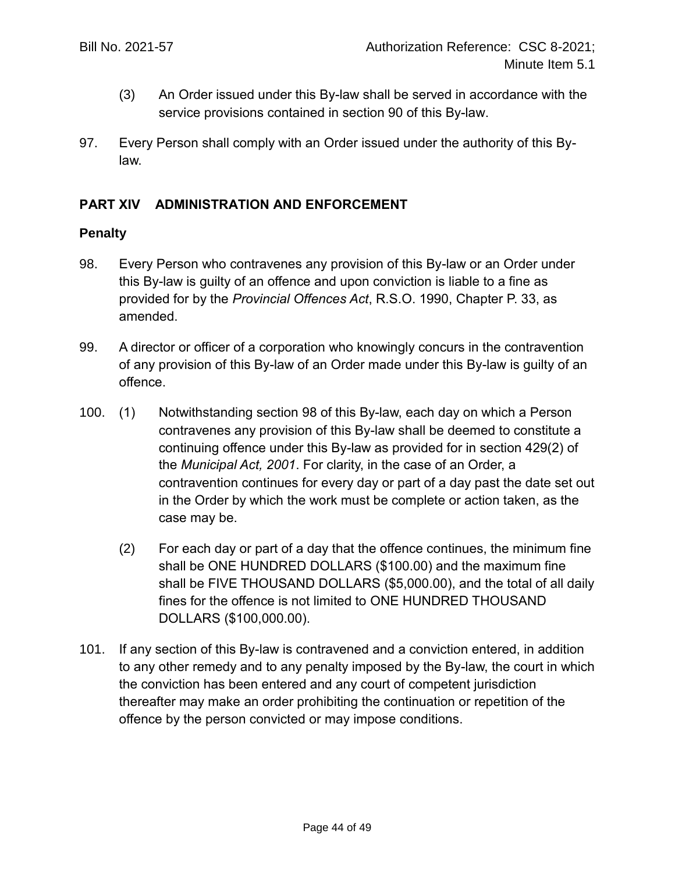- (3) An Order issued under this By-law shall be served in accordance with the service provisions contained in section 90 of this By-law.
- 97. Every Person shall comply with an Order issued under the authority of this Bylaw.

## **PART XIV ADMINISTRATION AND ENFORCEMENT**

#### **Penalty**

- 98. Every Person who contravenes any provision of this By-law or an Order under this By-law is guilty of an offence and upon conviction is liable to a fine as provided for by the *Provincial Offences Act*, R.S.O. 1990, Chapter P. 33, as amended.
- 99. A director or officer of a corporation who knowingly concurs in the contravention of any provision of this By-law of an Order made under this By-law is guilty of an offence.
- 100. (1) Notwithstanding section 98 of this By-law, each day on which a Person contravenes any provision of this By-law shall be deemed to constitute a continuing offence under this By-law as provided for in section 429(2) of the *Municipal Act, 2001*. For clarity, in the case of an Order, a contravention continues for every day or part of a day past the date set out in the Order by which the work must be complete or action taken, as the case may be.
	- (2) For each day or part of a day that the offence continues, the minimum fine shall be ONE HUNDRED DOLLARS (\$100.00) and the maximum fine shall be FIVE THOUSAND DOLLARS (\$5,000.00), and the total of all daily fines for the offence is not limited to ONE HUNDRED THOUSAND DOLLARS (\$100,000.00).
- 101. If any section of this By-law is contravened and a conviction entered, in addition to any other remedy and to any penalty imposed by the By-law, the court in which the conviction has been entered and any court of competent jurisdiction thereafter may make an order prohibiting the continuation or repetition of the offence by the person convicted or may impose conditions.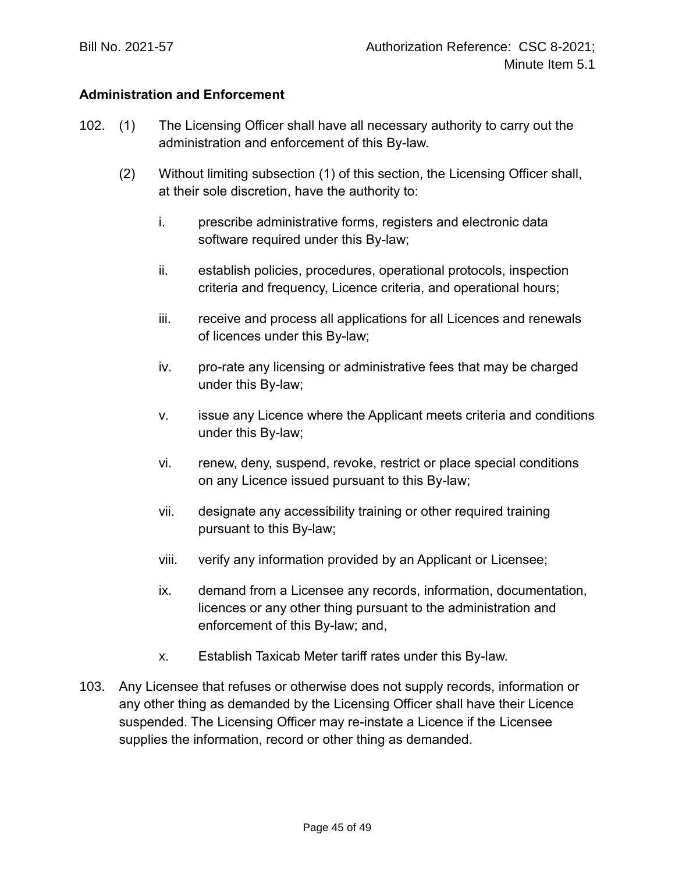## **Administration and Enforcement**

- 102. (1) The Licensing Officer shall have all necessary authority to carry out the administration and enforcement of this By-law.
	- (2) Without limiting subsection (1) of this section, the Licensing Officer shall, at their sole discretion, have the authority to:
		- i. prescribe administrative forms, registers and electronic data software required under this By-law;
		- ii. establish policies, procedures, operational protocols, inspection criteria and frequency, Licence criteria, and operational hours;
		- iii. receive and process all applications for all Licences and renewals of licences under this By-law;
		- iv. pro-rate any licensing or administrative fees that may be charged under this By-law;
		- v. issue any Licence where the Applicant meets criteria and conditions under this By-law;
		- vi. renew, deny, suspend, revoke, restrict or place special conditions on any Licence issued pursuant to this By-law;
		- vii. designate any accessibility training or other required training pursuant to this By-law;
		- viii. verify any information provided by an Applicant or Licensee;
		- ix. demand from a Licensee any records, information, documentation, licences or any other thing pursuant to the administration and enforcement of this By-law; and,
		- x. Establish Taxicab Meter tariff rates under this By-law.
- 103. Any Licensee that refuses or otherwise does not supply records, information or any other thing as demanded by the Licensing Officer shall have their Licence suspended. The Licensing Officer may re-instate a Licence if the Licensee supplies the information, record or other thing as demanded.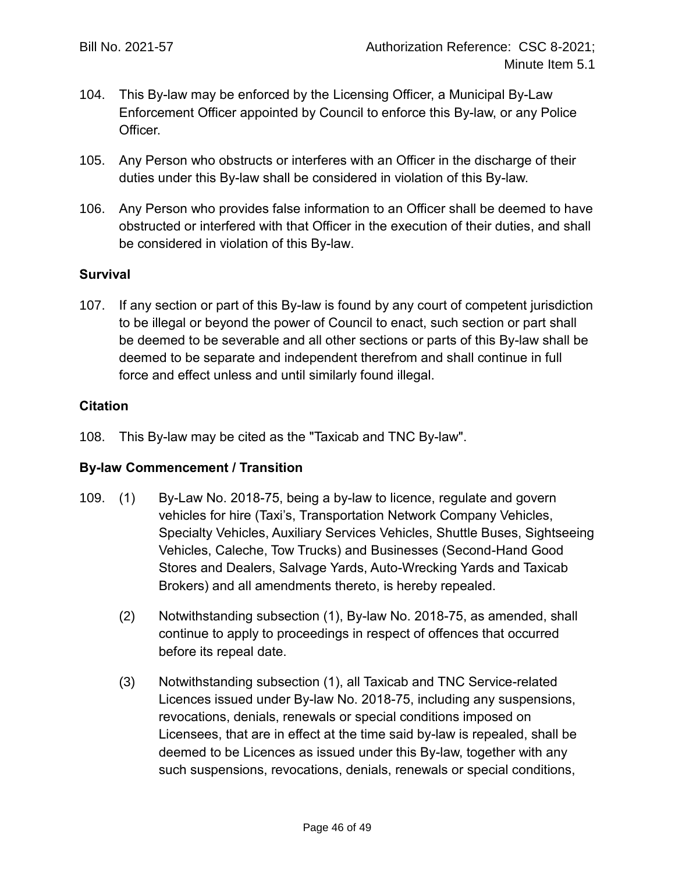- 104. This By-law may be enforced by the Licensing Officer, a Municipal By-Law Enforcement Officer appointed by Council to enforce this By-law, or any Police Officer.
- 105. Any Person who obstructs or interferes with an Officer in the discharge of their duties under this By-law shall be considered in violation of this By-law.
- 106. Any Person who provides false information to an Officer shall be deemed to have obstructed or interfered with that Officer in the execution of their duties, and shall be considered in violation of this By-law.

## **Survival**

107. If any section or part of this By-law is found by any court of competent jurisdiction to be illegal or beyond the power of Council to enact, such section or part shall be deemed to be severable and all other sections or parts of this By-law shall be deemed to be separate and independent therefrom and shall continue in full force and effect unless and until similarly found illegal.

## **Citation**

108. This By-law may be cited as the "Taxicab and TNC By-law".

## **By-law Commencement / Transition**

- 109. (1) By-Law No. 2018-75, being a by-law to licence, regulate and govern vehicles for hire (Taxi's, Transportation Network Company Vehicles, Specialty Vehicles, Auxiliary Services Vehicles, Shuttle Buses, Sightseeing Vehicles, Caleche, Tow Trucks) and Businesses (Second-Hand Good Stores and Dealers, Salvage Yards, Auto-Wrecking Yards and Taxicab Brokers) and all amendments thereto, is hereby repealed.
	- (2) Notwithstanding subsection (1), By-law No. 2018-75, as amended, shall continue to apply to proceedings in respect of offences that occurred before its repeal date.
	- (3) Notwithstanding subsection (1), all Taxicab and TNC Service-related Licences issued under By-law No. 2018-75, including any suspensions, revocations, denials, renewals or special conditions imposed on Licensees, that are in effect at the time said by-law is repealed, shall be deemed to be Licences as issued under this By-law, together with any such suspensions, revocations, denials, renewals or special conditions,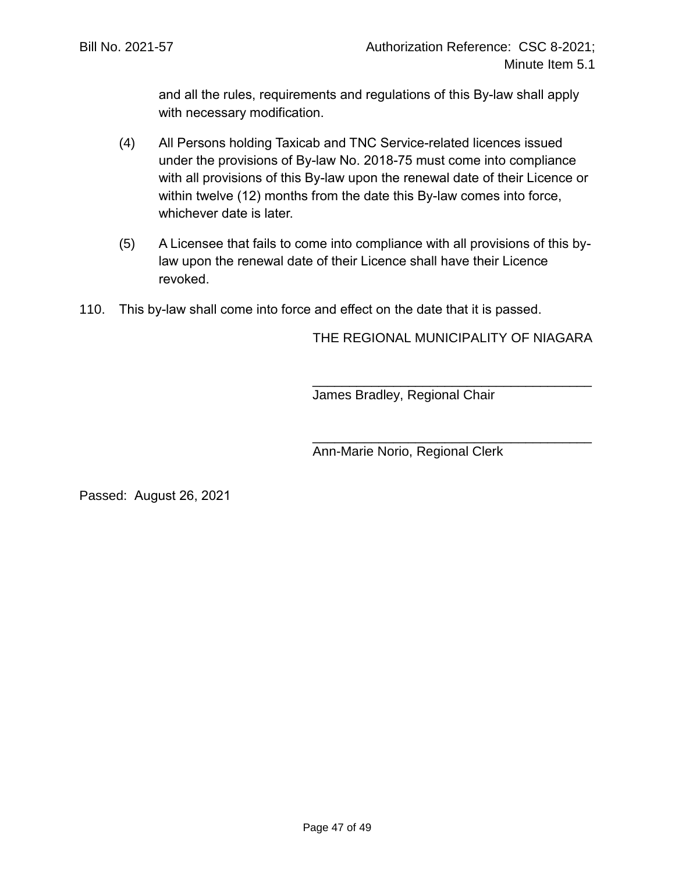and all the rules, requirements and regulations of this By-law shall apply with necessary modification.

- (4) All Persons holding Taxicab and TNC Service-related licences issued under the provisions of By-law No. 2018-75 must come into compliance with all provisions of this By-law upon the renewal date of their Licence or within twelve (12) months from the date this By-law comes into force, whichever date is later.
- (5) A Licensee that fails to come into compliance with all provisions of this bylaw upon the renewal date of their Licence shall have their Licence revoked.
- 110. This by-law shall come into force and effect on the date that it is passed.

THE REGIONAL MUNICIPALITY OF NIAGARA

\_\_\_\_\_\_\_\_\_\_\_\_\_\_\_\_\_\_\_\_\_\_\_\_\_\_\_\_\_\_\_\_\_\_\_\_\_\_

\_\_\_\_\_\_\_\_\_\_\_\_\_\_\_\_\_\_\_\_\_\_\_\_\_\_\_\_\_\_\_\_\_\_\_\_\_\_

James Bradley, Regional Chair

Ann-Marie Norio, Regional Clerk

Passed: August 26, 2021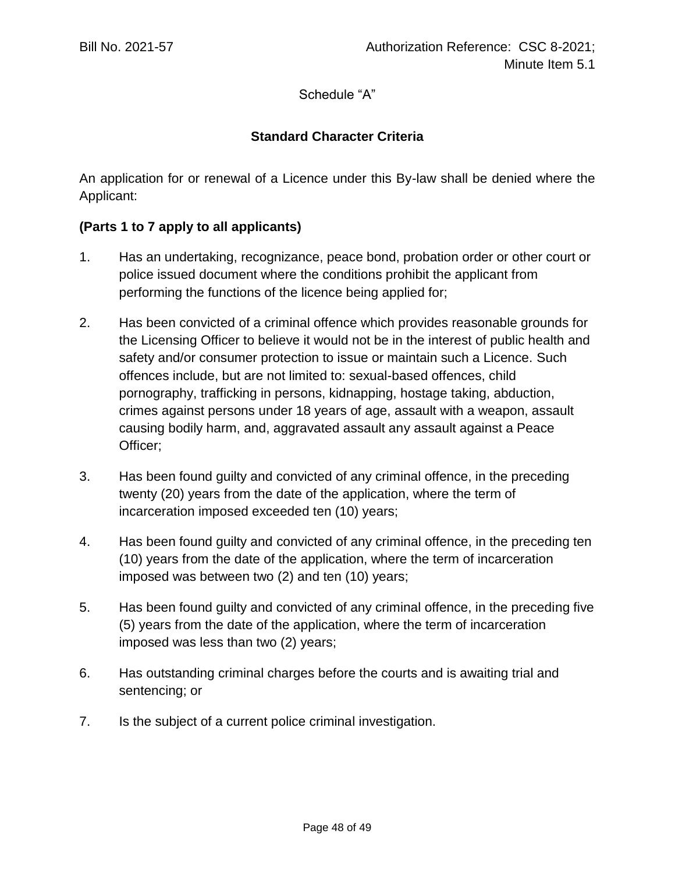Schedule "A"

## **Standard Character Criteria**

An application for or renewal of a Licence under this By-law shall be denied where the Applicant:

## **(Parts 1 to 7 apply to all applicants)**

- 1. Has an undertaking, recognizance, peace bond, probation order or other court or police issued document where the conditions prohibit the applicant from performing the functions of the licence being applied for;
- 2. Has been convicted of a criminal offence which provides reasonable grounds for the Licensing Officer to believe it would not be in the interest of public health and safety and/or consumer protection to issue or maintain such a Licence. Such offences include, but are not limited to: sexual-based offences, child pornography, trafficking in persons, kidnapping, hostage taking, abduction, crimes against persons under 18 years of age, assault with a weapon, assault causing bodily harm, and, aggravated assault any assault against a Peace Officer;
- 3. Has been found guilty and convicted of any criminal offence, in the preceding twenty (20) years from the date of the application, where the term of incarceration imposed exceeded ten (10) years;
- 4. Has been found guilty and convicted of any criminal offence, in the preceding ten (10) years from the date of the application, where the term of incarceration imposed was between two (2) and ten (10) years;
- 5. Has been found guilty and convicted of any criminal offence, in the preceding five (5) years from the date of the application, where the term of incarceration imposed was less than two (2) years;
- 6. Has outstanding criminal charges before the courts and is awaiting trial and sentencing; or
- 7. Is the subject of a current police criminal investigation.